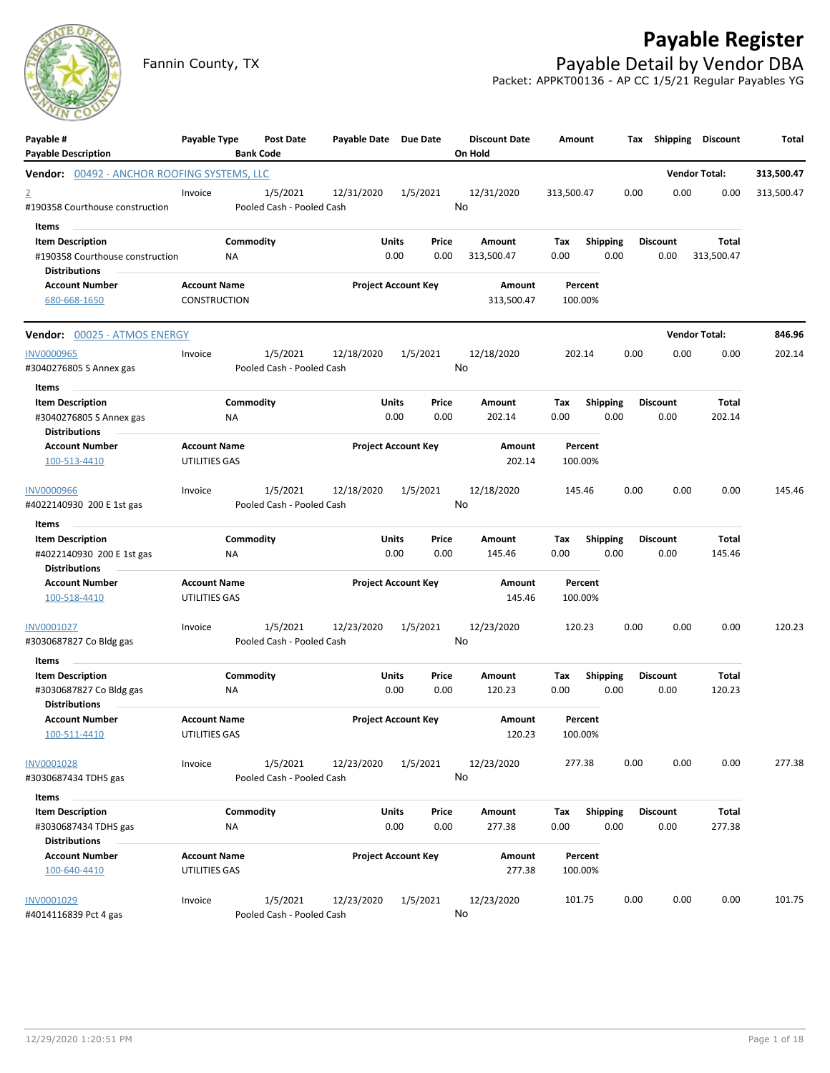# **Payable Register**



Fannin County, TX **Payable Detail by Vendor DBA** Packet: APPKT00136 - AP CC 1/5/21 Regular Payables YG

| Payable #<br><b>Payable Description</b>                                            | Payable Type                         |                 | Post Date<br><b>Bank Code</b>         | Payable Date Due Date |                            |               | <b>Discount Date</b><br>On Hold | Amount             |                         | Тах  | Shipping                | Discount                   | Total      |
|------------------------------------------------------------------------------------|--------------------------------------|-----------------|---------------------------------------|-----------------------|----------------------------|---------------|---------------------------------|--------------------|-------------------------|------|-------------------------|----------------------------|------------|
| <b>Vendor:</b> 00492 - ANCHOR ROOFING SYSTEMS, LLC                                 |                                      |                 |                                       |                       |                            |               |                                 |                    |                         |      |                         | <b>Vendor Total:</b>       | 313,500.47 |
| $\overline{2}$<br>#190358 Courthouse construction                                  | Invoice                              |                 | 1/5/2021<br>Pooled Cash - Pooled Cash | 12/31/2020            |                            | 1/5/2021      | 12/31/2020<br>No                | 313,500.47         |                         | 0.00 | 0.00                    | 0.00                       | 313,500.47 |
| Items                                                                              |                                      |                 |                                       |                       |                            |               |                                 |                    |                         |      |                         |                            |            |
| <b>Item Description</b><br>#190358 Courthouse construction<br><b>Distributions</b> |                                      | Commodity<br>ΝA |                                       |                       | Units<br>0.00              | Price<br>0.00 | Amount<br>313,500.47            | Тах<br>0.00        | <b>Shipping</b><br>0.00 |      | <b>Discount</b><br>0.00 | <b>Total</b><br>313,500.47 |            |
| <b>Account Number</b><br>680-668-1650                                              | <b>Account Name</b><br>CONSTRUCTION  |                 |                                       |                       | <b>Project Account Key</b> |               | Amount<br>313,500.47            | Percent<br>100.00% |                         |      |                         |                            |            |
| Vendor: 00025 - ATMOS ENERGY                                                       |                                      |                 |                                       |                       |                            |               |                                 |                    |                         |      |                         | <b>Vendor Total:</b>       | 846.96     |
| <b>INV0000965</b>                                                                  | Invoice                              |                 | 1/5/2021                              | 12/18/2020            |                            | 1/5/2021      | 12/18/2020                      | 202.14             |                         | 0.00 | 0.00                    | 0.00                       | 202.14     |
| #3040276805 S Annex gas<br>Items                                                   |                                      |                 | Pooled Cash - Pooled Cash             |                       |                            |               | No                              |                    |                         |      |                         |                            |            |
| <b>Item Description</b><br>#3040276805 S Annex gas<br><b>Distributions</b>         |                                      | Commodity<br>NA |                                       |                       | Units<br>0.00              | Price<br>0.00 | <b>Amount</b><br>202.14         | Тах<br>0.00        | Shipping<br>0.00        |      | <b>Discount</b><br>0.00 | Total<br>202.14            |            |
| <b>Account Number</b><br>100-513-4410                                              | <b>Account Name</b><br>UTILITIES GAS |                 |                                       |                       | <b>Project Account Key</b> |               | Amount<br>202.14                | Percent<br>100.00% |                         |      |                         |                            |            |
| <b>INV0000966</b><br>#4022140930 200 E 1st gas                                     | Invoice                              |                 | 1/5/2021<br>Pooled Cash - Pooled Cash | 12/18/2020            |                            | 1/5/2021      | 12/18/2020<br>No                | 145.46             |                         | 0.00 | 0.00                    | 0.00                       | 145.46     |
| Items                                                                              |                                      |                 |                                       |                       |                            |               |                                 |                    |                         |      |                         |                            |            |
| <b>Item Description</b><br>#4022140930 200 E 1st gas<br><b>Distributions</b>       |                                      | Commodity<br>ΝA |                                       |                       | Units<br>0.00              | Price<br>0.00 | Amount<br>145.46                | Tax<br>0.00        | <b>Shipping</b><br>0.00 |      | <b>Discount</b><br>0.00 | Total<br>145.46            |            |
| <b>Account Number</b><br>100-518-4410                                              | <b>Account Name</b><br>UTILITIES GAS |                 |                                       |                       | <b>Project Account Key</b> |               | Amount<br>145.46                | Percent<br>100.00% |                         |      |                         |                            |            |
| INV0001027<br>#3030687827 Co Bldg gas                                              | Invoice                              |                 | 1/5/2021<br>Pooled Cash - Pooled Cash | 12/23/2020            |                            | 1/5/2021      | 12/23/2020<br>No                | 120.23             |                         | 0.00 | 0.00                    | 0.00                       | 120.23     |
| Items                                                                              |                                      |                 |                                       |                       |                            |               |                                 |                    |                         |      |                         |                            |            |
| <b>Item Description</b><br>#3030687827 Co Bldg gas<br><b>Distributions</b>         |                                      | Commodity<br>NA |                                       |                       | Units<br>0.00              | Price<br>0.00 | Amount<br>120.23                | Tax<br>0.00        | <b>Shipping</b><br>0.00 |      | Discount<br>0.00        | Total<br>120.23            |            |
| <b>Account Number</b><br>100-511-4410                                              | <b>Account Name</b><br>UTILITIES GAS |                 |                                       |                       | <b>Project Account Key</b> |               | Amount<br>120.23                | Percent<br>100.00% |                         |      |                         |                            |            |
| INV0001028<br>#3030687434 TDHS gas                                                 | Invoice                              |                 | 1/5/2021<br>Pooled Cash - Pooled Cash | 12/23/2020            |                            | 1/5/2021      | 12/23/2020<br>No                | 277.38             |                         | 0.00 | 0.00                    | 0.00                       | 277.38     |
| Items                                                                              |                                      |                 |                                       |                       |                            |               |                                 |                    |                         |      |                         |                            |            |
| <b>Item Description</b><br>#3030687434 TDHS gas                                    |                                      | Commodity<br>NA |                                       |                       | Units<br>0.00              | Price<br>0.00 | Amount<br>277.38                | Tax<br>0.00        | <b>Shipping</b><br>0.00 |      | <b>Discount</b><br>0.00 | Total<br>277.38            |            |
| <b>Distributions</b>                                                               |                                      |                 |                                       |                       |                            |               |                                 |                    |                         |      |                         |                            |            |
| <b>Account Number</b><br>100-640-4410                                              | <b>Account Name</b><br>UTILITIES GAS |                 |                                       |                       | <b>Project Account Key</b> |               | Amount<br>277.38                | Percent<br>100.00% |                         |      |                         |                            |            |
| INV0001029<br>#4014116839 Pct 4 gas                                                | Invoice                              |                 | 1/5/2021<br>Pooled Cash - Pooled Cash | 12/23/2020            |                            | 1/5/2021      | 12/23/2020<br>No                | 101.75             |                         | 0.00 | 0.00                    | 0.00                       | 101.75     |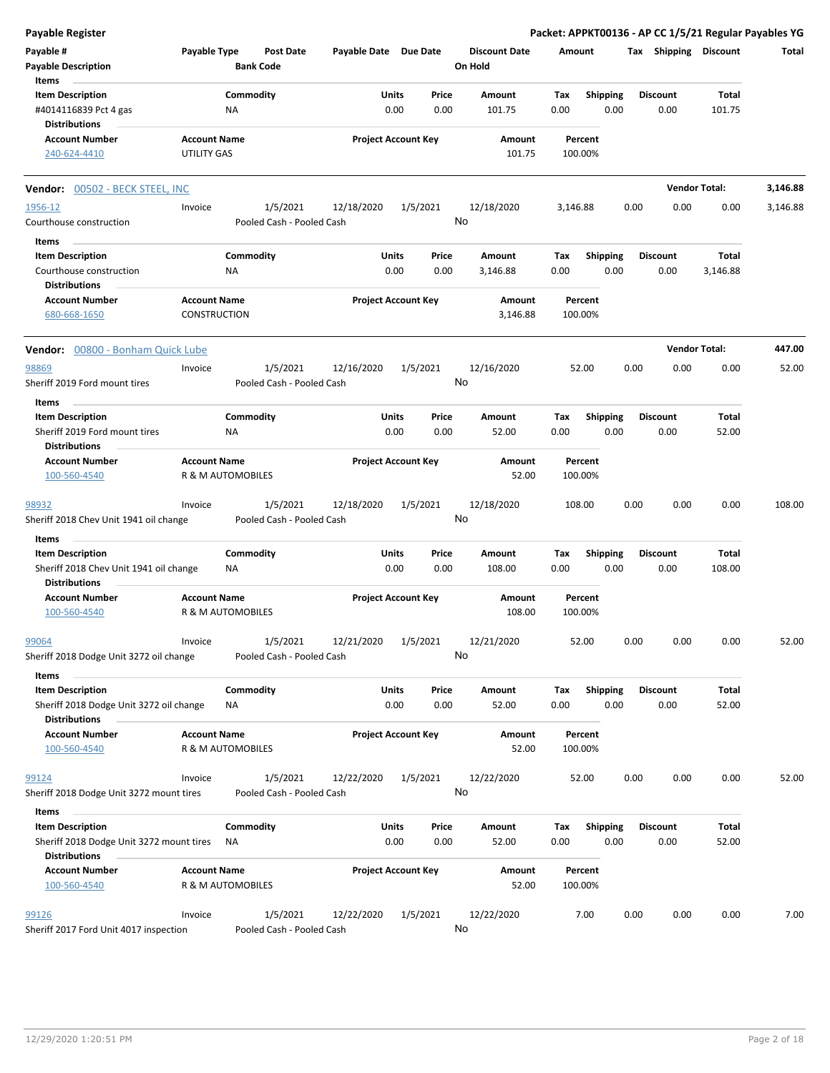| Payable Register                                                                          |                                            |                                       |                       |                            |                                 |                    |                         | Packet: APPKT00136 - AP CC 1/5/21 Regular Payables YG |                        |          |
|-------------------------------------------------------------------------------------------|--------------------------------------------|---------------------------------------|-----------------------|----------------------------|---------------------------------|--------------------|-------------------------|-------------------------------------------------------|------------------------|----------|
| Payable #<br><b>Payable Description</b>                                                   | Payable Type                               | <b>Post Date</b><br><b>Bank Code</b>  | Payable Date Due Date |                            | <b>Discount Date</b><br>On Hold | Amount             |                         | Tax Shipping Discount                                 |                        | Total    |
| <b>Items</b>                                                                              |                                            |                                       |                       |                            |                                 |                    |                         |                                                       |                        |          |
| <b>Item Description</b><br>#4014116839 Pct 4 gas<br><b>Distributions</b>                  |                                            | Commodity<br>ΝA                       | Units                 | Price<br>0.00<br>0.00      | Amount<br>101.75                | Tax<br>0.00        | Shipping<br>0.00        | <b>Discount</b><br>0.00                               | <b>Total</b><br>101.75 |          |
| <b>Account Number</b><br>240-624-4410                                                     | <b>Account Name</b><br><b>UTILITY GAS</b>  |                                       |                       | <b>Project Account Key</b> | Amount<br>101.75                | Percent<br>100.00% |                         |                                                       |                        |          |
| Vendor: 00502 - BECK STEEL, INC                                                           |                                            |                                       |                       |                            |                                 |                    |                         |                                                       | <b>Vendor Total:</b>   | 3,146.88 |
| 1956-12                                                                                   | Invoice                                    | 1/5/2021                              | 12/18/2020            | 1/5/2021                   | 12/18/2020                      | 3,146.88           |                         | 0.00<br>0.00                                          | 0.00                   | 3,146.88 |
| Courthouse construction                                                                   |                                            | Pooled Cash - Pooled Cash             |                       |                            | No                              |                    |                         |                                                       |                        |          |
| Items                                                                                     |                                            |                                       |                       |                            |                                 |                    |                         |                                                       |                        |          |
| <b>Item Description</b><br>Courthouse construction<br><b>Distributions</b>                |                                            | Commodity<br>NA                       | Units                 | Price<br>0.00<br>0.00      | Amount<br>3,146.88              | Tax<br>0.00        | <b>Shipping</b><br>0.00 | <b>Discount</b><br>0.00                               | Total<br>3,146.88      |          |
| <b>Account Number</b><br>680-668-1650                                                     | <b>Account Name</b><br><b>CONSTRUCTION</b> |                                       |                       | <b>Project Account Key</b> | Amount<br>3,146.88              | Percent<br>100.00% |                         |                                                       |                        |          |
| Vendor: 00800 - Bonham Quick Lube                                                         |                                            |                                       |                       |                            |                                 |                    |                         |                                                       | <b>Vendor Total:</b>   | 447.00   |
| 98869                                                                                     | Invoice                                    | 1/5/2021                              | 12/16/2020            | 1/5/2021                   | 12/16/2020                      | 52.00              |                         | 0.00<br>0.00                                          | 0.00                   | 52.00    |
| Sheriff 2019 Ford mount tires<br>Items                                                    |                                            | Pooled Cash - Pooled Cash             |                       |                            | No                              |                    |                         |                                                       |                        |          |
| <b>Item Description</b>                                                                   |                                            | Commodity                             | Units                 | Price                      | Amount                          | Tax                | <b>Shipping</b>         | <b>Discount</b>                                       | Total                  |          |
| Sheriff 2019 Ford mount tires<br><b>Distributions</b>                                     |                                            | ΝA                                    |                       | 0.00<br>0.00               | 52.00                           | 0.00               | 0.00                    | 0.00                                                  | 52.00                  |          |
| <b>Account Number</b><br>100-560-4540                                                     | <b>Account Name</b>                        | R & M AUTOMOBILES                     |                       | <b>Project Account Key</b> | Amount<br>52.00                 | Percent<br>100.00% |                         |                                                       |                        |          |
| 98932                                                                                     | Invoice                                    | 1/5/2021                              | 12/18/2020            | 1/5/2021                   | 12/18/2020                      | 108.00             |                         | 0.00<br>0.00                                          | 0.00                   | 108.00   |
| Sheriff 2018 Chev Unit 1941 oil change                                                    |                                            | Pooled Cash - Pooled Cash             |                       |                            | No                              |                    |                         |                                                       |                        |          |
| Items                                                                                     |                                            |                                       |                       |                            |                                 |                    |                         |                                                       |                        |          |
| <b>Item Description</b><br>Sheriff 2018 Chev Unit 1941 oil change<br><b>Distributions</b> |                                            | Commodity<br><b>NA</b>                | Units<br>0.00         | Price<br>0.00              | Amount<br>108.00                | Tax<br>0.00        | <b>Shipping</b><br>0.00 | <b>Discount</b><br>0.00                               | Total<br>108.00        |          |
| <b>Account Number</b><br>100-560-4540                                                     | <b>Account Name</b>                        | R & M AUTOMOBILES                     |                       | <b>Project Account Key</b> | Amount<br>108.00                | Percent<br>100.00% |                         |                                                       |                        |          |
| 99064                                                                                     | Invoice                                    | 1/5/2021                              | 12/21/2020            | 1/5/2021                   | 12/21/2020                      | 52.00              |                         | 0.00<br>0.00                                          | 0.00                   | 52.00    |
| Sheriff 2018 Dodge Unit 3272 oil change                                                   |                                            | Pooled Cash - Pooled Cash             |                       |                            | No                              |                    |                         |                                                       |                        |          |
| Items<br><b>Item Description</b><br>Sheriff 2018 Dodge Unit 3272 oil change               |                                            | Commodity<br>ΝA                       | Units                 | Price<br>0.00<br>0.00      | Amount<br>52.00                 | Tax<br>0.00        | <b>Shipping</b><br>0.00 | <b>Discount</b><br>0.00                               | Total<br>52.00         |          |
| <b>Distributions</b><br><b>Account Number</b>                                             | <b>Account Name</b>                        |                                       |                       | <b>Project Account Key</b> | Amount                          | Percent            |                         |                                                       |                        |          |
| 100-560-4540                                                                              |                                            | R & M AUTOMOBILES                     |                       |                            | 52.00                           | 100.00%            |                         |                                                       |                        |          |
| 99124<br>Sheriff 2018 Dodge Unit 3272 mount tires                                         | Invoice                                    | 1/5/2021<br>Pooled Cash - Pooled Cash | 12/22/2020            | 1/5/2021                   | 12/22/2020<br>No                | 52.00              |                         | 0.00<br>0.00                                          | 0.00                   | 52.00    |
| Items                                                                                     |                                            |                                       |                       |                            |                                 |                    |                         |                                                       |                        |          |
| <b>Item Description</b><br>Sheriff 2018 Dodge Unit 3272 mount tires                       |                                            | Commodity<br>ΝA                       | Units                 | Price<br>0.00<br>0.00      | Amount<br>52.00                 | Tax<br>0.00        | <b>Shipping</b><br>0.00 | Discount<br>0.00                                      | Total<br>52.00         |          |
| <b>Distributions</b>                                                                      |                                            |                                       |                       |                            |                                 |                    |                         |                                                       |                        |          |
| <b>Account Number</b><br>100-560-4540                                                     | <b>Account Name</b>                        | R & M AUTOMOBILES                     |                       | <b>Project Account Key</b> | Amount<br>52.00                 | Percent<br>100.00% |                         |                                                       |                        |          |
| 99126                                                                                     | Invoice                                    | 1/5/2021                              | 12/22/2020            | 1/5/2021                   | 12/22/2020                      | 7.00               |                         | 0.00<br>0.00                                          | 0.00                   | 7.00     |
| Sheriff 2017 Ford Unit 4017 inspection                                                    |                                            | Pooled Cash - Pooled Cash             |                       |                            | No                              |                    |                         |                                                       |                        |          |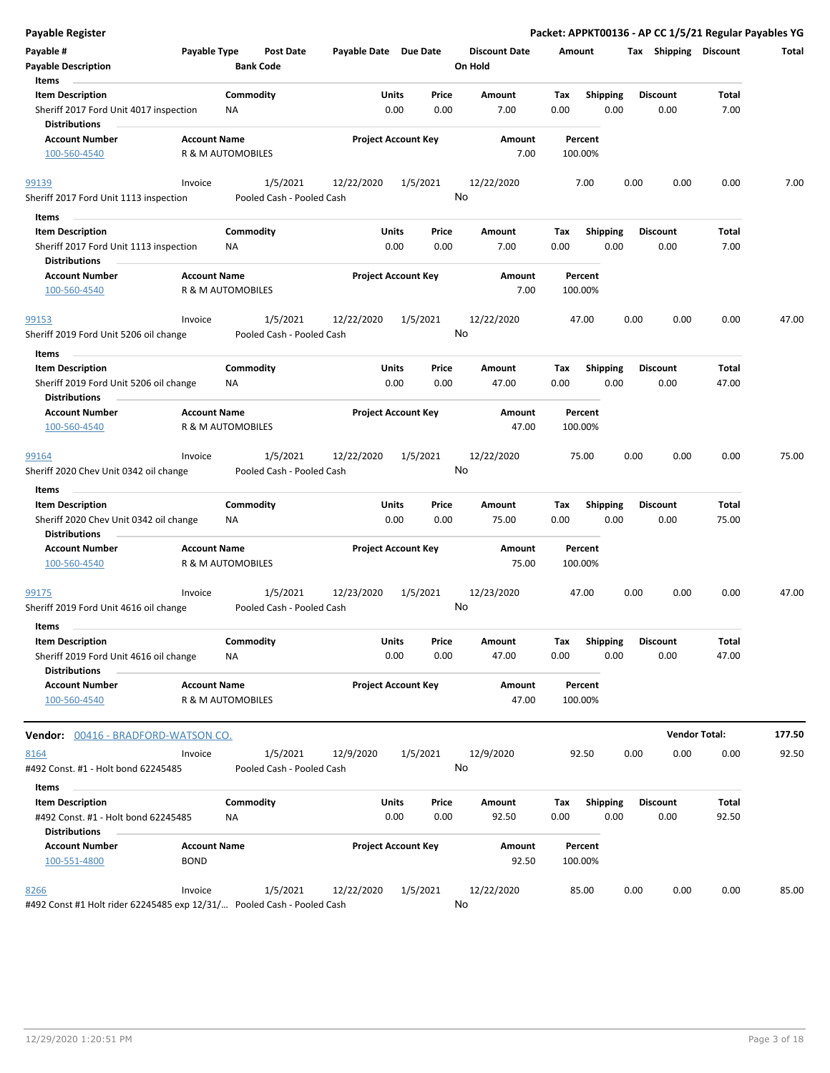| <b>Payable Register</b>                                                                   |                                                                                    |                       |                            |                                 | Packet: APPKT00136 - AP CC 1/5/21 Regular Payables YG |      |                         |                       |        |
|-------------------------------------------------------------------------------------------|------------------------------------------------------------------------------------|-----------------------|----------------------------|---------------------------------|-------------------------------------------------------|------|-------------------------|-----------------------|--------|
| Payable #<br>Payable Type<br><b>Payable Description</b>                                   | <b>Post Date</b><br><b>Bank Code</b>                                               | Payable Date Due Date |                            | <b>Discount Date</b><br>On Hold | Amount                                                |      |                         | Tax Shipping Discount | Total  |
| Items<br><b>Item Description</b><br>Sheriff 2017 Ford Unit 4017 inspection                | Commodity<br>NA                                                                    | Units<br>0.00         | Price<br>0.00              | Amount<br>7.00                  | <b>Shipping</b><br>Tax<br>0.00<br>0.00                |      | <b>Discount</b><br>0.00 | Total<br>7.00         |        |
| <b>Distributions</b><br><b>Account Number</b><br><b>Account Name</b><br>100-560-4540      | R & M AUTOMOBILES                                                                  |                       | <b>Project Account Key</b> | Amount<br>7.00                  | Percent<br>100.00%                                    |      |                         |                       |        |
|                                                                                           |                                                                                    |                       |                            |                                 |                                                       |      |                         |                       |        |
| Invoice<br>99139<br>Sheriff 2017 Ford Unit 1113 inspection                                | 1/5/2021<br>Pooled Cash - Pooled Cash                                              | 12/22/2020            | 1/5/2021                   | 12/22/2020<br>No                | 7.00                                                  | 0.00 | 0.00                    | 0.00                  | 7.00   |
| Items                                                                                     |                                                                                    |                       |                            |                                 |                                                       |      |                         |                       |        |
| <b>Item Description</b><br>Sheriff 2017 Ford Unit 1113 inspection<br><b>Distributions</b> | Commodity<br>NA.                                                                   | Units<br>0.00         | Price<br>0.00              | Amount<br>7.00                  | <b>Shipping</b><br>Tax<br>0.00<br>0.00                |      | <b>Discount</b><br>0.00 | Total<br>7.00         |        |
| <b>Account Number</b><br><b>Account Name</b>                                              |                                                                                    |                       | <b>Project Account Key</b> | Amount                          | Percent                                               |      |                         |                       |        |
| 100-560-4540                                                                              | R & M AUTOMOBILES                                                                  |                       |                            | 7.00                            | 100.00%                                               |      |                         |                       |        |
| 99153<br>Invoice                                                                          | 1/5/2021                                                                           | 12/22/2020            | 1/5/2021                   | 12/22/2020                      | 47.00                                                 | 0.00 | 0.00                    | 0.00                  | 47.00  |
| Sheriff 2019 Ford Unit 5206 oil change                                                    | Pooled Cash - Pooled Cash                                                          |                       |                            | No                              |                                                       |      |                         |                       |        |
| Items                                                                                     |                                                                                    |                       |                            |                                 |                                                       |      |                         |                       |        |
| <b>Item Description</b><br>Sheriff 2019 Ford Unit 5206 oil change                         | Commodity<br>ΝA                                                                    | Units<br>0.00         | Price<br>0.00              | Amount<br>47.00                 | Shipping<br>Tax<br>0.00<br>0.00                       |      | <b>Discount</b><br>0.00 | Total<br>47.00        |        |
| <b>Distributions</b><br><b>Account Number</b><br><b>Account Name</b>                      |                                                                                    |                       | <b>Project Account Key</b> | Amount                          | Percent                                               |      |                         |                       |        |
| 100-560-4540                                                                              | R & M AUTOMOBILES                                                                  |                       |                            | 47.00                           | 100.00%                                               |      |                         |                       |        |
| 99164<br>Invoice                                                                          | 1/5/2021                                                                           | 12/22/2020            | 1/5/2021                   | 12/22/2020                      | 75.00                                                 | 0.00 | 0.00                    | 0.00                  | 75.00  |
| Sheriff 2020 Chev Unit 0342 oil change                                                    | Pooled Cash - Pooled Cash                                                          |                       |                            | No                              |                                                       |      |                         |                       |        |
| Items                                                                                     |                                                                                    |                       |                            |                                 |                                                       |      |                         |                       |        |
| <b>Item Description</b><br>Sheriff 2020 Chev Unit 0342 oil change                         | Commodity<br>ΝA                                                                    | Units<br>0.00         | Price<br>0.00              | Amount<br>75.00                 | Tax<br><b>Shipping</b><br>0.00<br>0.00                |      | <b>Discount</b><br>0.00 | Total<br>75.00        |        |
| <b>Distributions</b>                                                                      |                                                                                    |                       |                            |                                 |                                                       |      |                         |                       |        |
| <b>Account Name</b><br><b>Account Number</b><br>100-560-4540                              | R & M AUTOMOBILES                                                                  |                       | <b>Project Account Key</b> | Amount<br>75.00                 | Percent<br>100.00%                                    |      |                         |                       |        |
| 99175<br>Invoice<br>Sheriff 2019 Ford Unit 4616 oil change                                | 1/5/2021<br>Pooled Cash - Pooled Cash                                              | 12/23/2020            | 1/5/2021                   | 12/23/2020<br>No                | 47.00                                                 | 0.00 | 0.00                    | 0.00                  | 47.00  |
| Items                                                                                     |                                                                                    |                       |                            |                                 |                                                       |      |                         |                       |        |
| <b>Item Description</b><br>Sheriff 2019 Ford Unit 4616 oil change                         | Commodity<br>NA                                                                    | Units<br>0.00         | Price<br>0.00              | Amount<br>47.00                 | Tax<br><b>Shipping</b><br>0.00<br>0.00                |      | <b>Discount</b><br>0.00 | Total<br>47.00        |        |
| <b>Distributions</b>                                                                      |                                                                                    |                       |                            |                                 |                                                       |      |                         |                       |        |
| <b>Account Number</b><br><b>Account Name</b><br>100-560-4540                              | R & M AUTOMOBILES                                                                  |                       | <b>Project Account Key</b> | Amount<br>47.00                 | Percent<br>100.00%                                    |      |                         |                       |        |
| <b>Vendor: 00416 - BRADFORD-WATSON CO.</b>                                                |                                                                                    |                       |                            |                                 |                                                       |      | <b>Vendor Total:</b>    |                       | 177.50 |
| 8164<br>Invoice                                                                           | 1/5/2021                                                                           | 12/9/2020             | 1/5/2021                   | 12/9/2020                       | 92.50                                                 | 0.00 | 0.00                    | 0.00                  | 92.50  |
| #492 Const. #1 - Holt bond 62245485                                                       | Pooled Cash - Pooled Cash                                                          |                       |                            | No                              |                                                       |      |                         |                       |        |
| Items                                                                                     |                                                                                    |                       |                            |                                 |                                                       |      |                         |                       |        |
| <b>Item Description</b>                                                                   | Commodity                                                                          | Units                 | Price                      | Amount                          | Shipping<br>Tax                                       |      | <b>Discount</b>         | Total                 |        |
| #492 Const. #1 - Holt bond 62245485<br><b>Distributions</b>                               | NA                                                                                 | 0.00                  | 0.00                       | 92.50                           | 0.00<br>0.00                                          |      | 0.00                    | 92.50                 |        |
| <b>Account Name</b><br><b>Account Number</b>                                              |                                                                                    |                       | <b>Project Account Key</b> | Amount                          | Percent                                               |      |                         |                       |        |
| <b>BOND</b><br>100-551-4800                                                               |                                                                                    |                       |                            | 92.50                           | 100.00%                                               |      |                         |                       |        |
| Invoice<br>8266                                                                           | 1/5/2021<br>#492 Const #1 Holt rider 62245485 exp 12/31/ Pooled Cash - Pooled Cash | 12/22/2020            | 1/5/2021                   | 12/22/2020<br>No                | 85.00                                                 | 0.00 | 0.00                    | 0.00                  | 85.00  |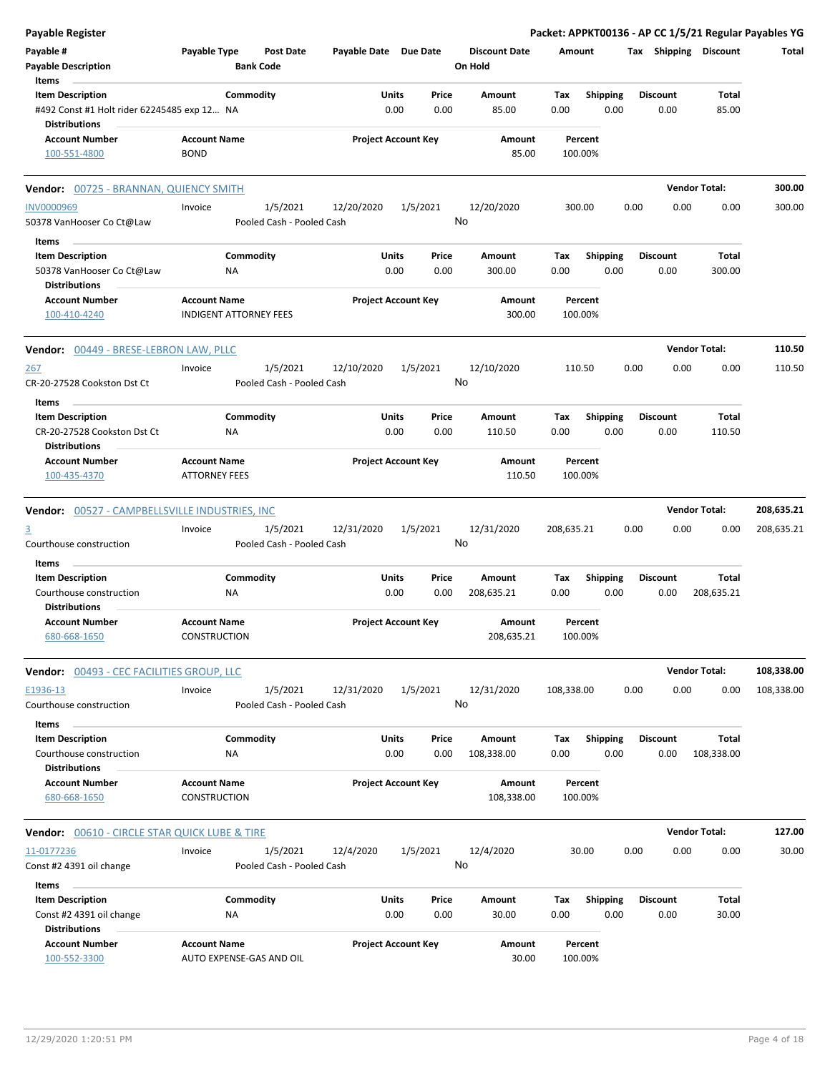| <b>Payable Register</b>                                                |                                                      |                                       |                       |                            |                                 |                    |                         |                 |      |                        | Packet: APPKT00136 - AP CC 1/5/21 Regular Payables YG |
|------------------------------------------------------------------------|------------------------------------------------------|---------------------------------------|-----------------------|----------------------------|---------------------------------|--------------------|-------------------------|-----------------|------|------------------------|-------------------------------------------------------|
| Payable #<br><b>Payable Description</b>                                | Payable Type                                         | Post Date<br><b>Bank Code</b>         | Payable Date Due Date |                            | <b>Discount Date</b><br>On Hold | Amount             |                         |                 |      | Tax Shipping Discount  | Total                                                 |
| Items                                                                  |                                                      |                                       |                       |                            |                                 |                    |                         |                 |      |                        |                                                       |
| <b>Item Description</b><br>#492 Const #1 Holt rider 62245485 exp 12 NA | Commodity                                            |                                       | Units                 | Price<br>0.00<br>0.00      | Amount<br>85.00                 | Tax<br>0.00        | <b>Shipping</b><br>0.00 | <b>Discount</b> | 0.00 | Total<br>85.00         |                                                       |
| Distributions<br><b>Account Number</b>                                 | <b>Account Name</b>                                  |                                       |                       | <b>Project Account Key</b> | Amount                          | Percent            |                         |                 |      |                        |                                                       |
| 100-551-4800                                                           | <b>BOND</b>                                          |                                       |                       |                            | 85.00                           | 100.00%            |                         |                 |      |                        |                                                       |
| Vendor: 00725 - BRANNAN, QUIENCY SMITH                                 |                                                      |                                       |                       |                            |                                 |                    |                         |                 |      | <b>Vendor Total:</b>   | 300.00                                                |
| <b>INV0000969</b><br>50378 VanHooser Co Ct@Law                         | Invoice                                              | 1/5/2021<br>Pooled Cash - Pooled Cash | 12/20/2020            | 1/5/2021                   | 12/20/2020<br>No                | 300.00             |                         | 0.00            | 0.00 | 0.00                   | 300.00                                                |
| Items                                                                  |                                                      |                                       |                       |                            |                                 |                    |                         |                 |      |                        |                                                       |
| <b>Item Description</b><br>50378 VanHooser Co Ct@Law                   | Commodity<br>NA.                                     |                                       | Units                 | Price<br>0.00<br>0.00      | Amount<br>300.00                | Tax<br>0.00        | <b>Shipping</b><br>0.00 | <b>Discount</b> | 0.00 | <b>Total</b><br>300.00 |                                                       |
| Distributions                                                          |                                                      |                                       |                       |                            |                                 |                    |                         |                 |      |                        |                                                       |
| <b>Account Number</b><br>100-410-4240                                  | <b>Account Name</b><br><b>INDIGENT ATTORNEY FEES</b> |                                       |                       | <b>Project Account Key</b> | Amount<br>300.00                | Percent<br>100.00% |                         |                 |      |                        |                                                       |
| Vendor: 00449 - BRESE-LEBRON LAW, PLLC                                 |                                                      |                                       |                       |                            |                                 |                    |                         |                 |      | <b>Vendor Total:</b>   | 110.50                                                |
| <u>267</u><br>CR-20-27528 Cookston Dst Ct                              | Invoice                                              | 1/5/2021<br>Pooled Cash - Pooled Cash | 12/10/2020            | 1/5/2021                   | 12/10/2020<br>No                | 110.50             |                         | 0.00            | 0.00 | 0.00                   | 110.50                                                |
| Items                                                                  |                                                      |                                       |                       |                            |                                 |                    |                         |                 |      |                        |                                                       |
| <b>Item Description</b>                                                | Commodity                                            |                                       | Units                 | Price                      | Amount                          | Tax                | <b>Shipping</b>         | <b>Discount</b> |      | <b>Total</b>           |                                                       |
| CR-20-27528 Cookston Dst Ct<br>Distributions                           | ΝA                                                   |                                       |                       | 0.00<br>0.00               | 110.50                          | 0.00               | 0.00                    |                 | 0.00 | 110.50                 |                                                       |
| <b>Account Number</b><br>100-435-4370                                  | <b>Account Name</b><br><b>ATTORNEY FEES</b>          |                                       |                       | <b>Project Account Key</b> | Amount<br>110.50                | Percent<br>100.00% |                         |                 |      |                        |                                                       |
| Vendor: 00527 - CAMPBELLSVILLE INDUSTRIES, INC                         |                                                      |                                       |                       |                            |                                 |                    |                         |                 |      | <b>Vendor Total:</b>   | 208,635.21                                            |
| 3                                                                      | Invoice                                              | 1/5/2021                              | 12/31/2020            | 1/5/2021                   | 12/31/2020                      | 208,635.21         |                         | 0.00            | 0.00 | 0.00                   | 208,635.21                                            |
| Courthouse construction                                                |                                                      | Pooled Cash - Pooled Cash             |                       |                            | No                              |                    |                         |                 |      |                        |                                                       |
| Items                                                                  |                                                      |                                       |                       |                            |                                 |                    |                         |                 |      |                        |                                                       |
| <b>Item Description</b>                                                | Commodity                                            |                                       | Units                 | Price                      | Amount                          | Тах                | <b>Shipping</b>         | <b>Discount</b> |      | Total                  |                                                       |
| Courthouse construction<br>Distributions                               | NA                                                   |                                       |                       | 0.00<br>0.00               | 208,635.21                      | 0.00               | 0.00                    |                 | 0.00 | 208,635.21             |                                                       |
| Account Number<br>680-668-1650                                         | <b>Account Name</b><br><b>CONSTRUCTION</b>           |                                       |                       | <b>Project Account Key</b> | Amount<br>208,635.21            | Percent<br>100.00% |                         |                 |      |                        |                                                       |
| <b>Vendor: 00493 - CEC FACILITIES GROUP, LLC</b>                       |                                                      |                                       |                       |                            |                                 |                    |                         |                 |      | <b>Vendor Total:</b>   | 108,338.00                                            |
| E1936-13<br>Courthouse construction                                    | Invoice                                              | 1/5/2021<br>Pooled Cash - Pooled Cash | 12/31/2020            | 1/5/2021                   | 12/31/2020<br>No                | 108,338.00         |                         | 0.00            | 0.00 | 0.00                   | 108,338.00                                            |
| Items                                                                  |                                                      |                                       |                       |                            |                                 |                    |                         |                 |      |                        |                                                       |
| <b>Item Description</b><br>Courthouse construction                     | Commodity<br>ΝA                                      |                                       | Units                 | Price<br>0.00<br>0.00      | Amount<br>108,338.00            | Tax<br>0.00        | <b>Shipping</b><br>0.00 | <b>Discount</b> | 0.00 | Total<br>108,338.00    |                                                       |
| <b>Distributions</b><br><b>Account Number</b>                          | <b>Account Name</b>                                  |                                       |                       | <b>Project Account Key</b> | Amount                          | Percent            |                         |                 |      |                        |                                                       |
| 680-668-1650                                                           | CONSTRUCTION                                         |                                       |                       |                            | 108,338.00                      | 100.00%            |                         |                 |      |                        |                                                       |
| <b>Vendor:</b> 00610 - CIRCLE STAR QUICK LUBE & TIRE                   |                                                      |                                       |                       |                            |                                 |                    |                         |                 |      | <b>Vendor Total:</b>   | 127.00                                                |
| 11-0177236<br>Const #2 4391 oil change                                 | Invoice                                              | 1/5/2021<br>Pooled Cash - Pooled Cash | 12/4/2020             | 1/5/2021                   | 12/4/2020<br>No                 | 30.00              |                         | 0.00            | 0.00 | 0.00                   | 30.00                                                 |
| Items                                                                  |                                                      |                                       |                       |                            |                                 |                    |                         |                 |      |                        |                                                       |
| <b>Item Description</b>                                                | Commodity                                            |                                       | Units                 | Price                      | Amount                          | Tax                | <b>Shipping</b>         | <b>Discount</b> |      | Total                  |                                                       |
| Const #2 4391 oil change<br><b>Distributions</b>                       | NA                                                   |                                       |                       | 0.00<br>0.00               | 30.00                           | 0.00               | 0.00                    |                 | 0.00 | 30.00                  |                                                       |
| <b>Account Number</b><br>100-552-3300                                  | <b>Account Name</b><br>AUTO EXPENSE-GAS AND OIL      |                                       |                       | <b>Project Account Key</b> | Amount<br>30.00                 | Percent<br>100.00% |                         |                 |      |                        |                                                       |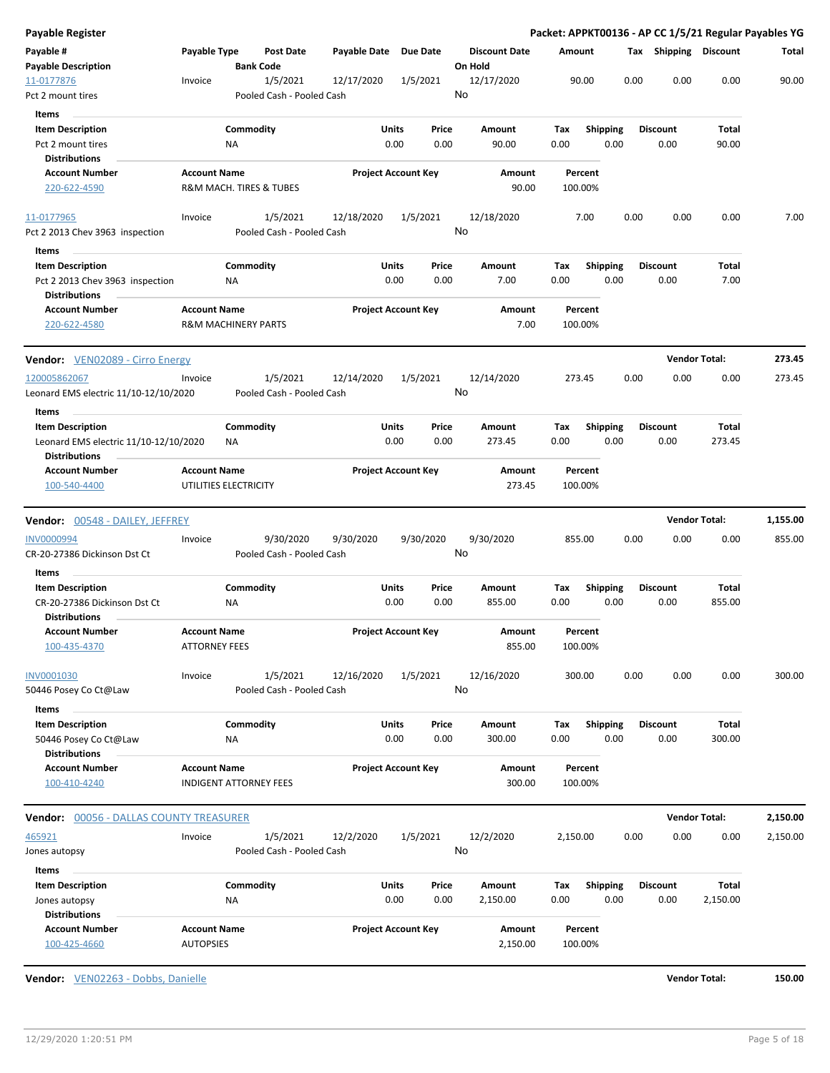| <b>Payable Register</b>                                          |                                         |                                       |                       |                                |                                 |                    |                         |      |                         |                        | Packet: APPKT00136 - AP CC 1/5/21 Regular Payables YG |
|------------------------------------------------------------------|-----------------------------------------|---------------------------------------|-----------------------|--------------------------------|---------------------------------|--------------------|-------------------------|------|-------------------------|------------------------|-------------------------------------------------------|
| Payable #<br><b>Payable Description</b>                          | Payable Type                            | Post Date<br><b>Bank Code</b>         | Payable Date Due Date |                                | <b>Discount Date</b><br>On Hold | Amount             |                         |      | Tax Shipping Discount   |                        | Total                                                 |
| 11-0177876<br>Pct 2 mount tires                                  | Invoice                                 | 1/5/2021<br>Pooled Cash - Pooled Cash | 12/17/2020            | 1/5/2021                       | 12/17/2020<br>No                | 90.00              |                         | 0.00 | 0.00                    | 0.00                   | 90.00                                                 |
| Items                                                            |                                         |                                       |                       |                                |                                 |                    |                         |      |                         |                        |                                                       |
| <b>Item Description</b><br>Pct 2 mount tires                     |                                         | Commodity<br>ΝA                       | Units                 | Price<br>0.00<br>0.00          | Amount<br>90.00                 | Tax<br>0.00        | <b>Shipping</b><br>0.00 |      | <b>Discount</b><br>0.00 | Total<br>90.00         |                                                       |
| <b>Distributions</b>                                             |                                         |                                       |                       |                                |                                 |                    |                         |      |                         |                        |                                                       |
| <b>Account Number</b><br>220-622-4590                            | <b>Account Name</b>                     | R&M MACH. TIRES & TUBES               |                       | <b>Project Account Key</b>     | Amount<br>90.00                 | Percent<br>100.00% |                         |      |                         |                        |                                                       |
| 11-0177965                                                       | Invoice                                 | 1/5/2021                              | 12/18/2020            | 1/5/2021                       | 12/18/2020                      | 7.00               |                         | 0.00 | 0.00                    | 0.00                   | 7.00                                                  |
| Pct 2 2013 Chev 3963 inspection                                  |                                         | Pooled Cash - Pooled Cash             |                       |                                | No                              |                    |                         |      |                         |                        |                                                       |
| Items                                                            |                                         |                                       |                       |                                |                                 |                    |                         |      |                         |                        |                                                       |
| <b>Item Description</b>                                          |                                         | Commodity                             |                       | Units<br>Price                 | Amount                          | Tax                | <b>Shipping</b>         |      | <b>Discount</b>         | Total                  |                                                       |
| Pct 2 2013 Chev 3963 inspection<br><b>Distributions</b>          |                                         | NA                                    |                       | 0.00<br>0.00                   | 7.00                            | 0.00               | 0.00                    |      | 0.00                    | 7.00                   |                                                       |
| <b>Account Number</b><br>220-622-4580                            | <b>Account Name</b>                     | <b>R&amp;M MACHINERY PARTS</b>        |                       | <b>Project Account Key</b>     | <b>Amount</b><br>7.00           | Percent<br>100.00% |                         |      |                         |                        |                                                       |
| Vendor: VEN02089 - Cirro Energy                                  |                                         |                                       |                       |                                |                                 |                    |                         |      |                         | <b>Vendor Total:</b>   | 273.45                                                |
| 120005862067                                                     | Invoice                                 | 1/5/2021                              | 12/14/2020            | 1/5/2021                       | 12/14/2020                      | 273.45             |                         | 0.00 | 0.00                    | 0.00                   | 273.45                                                |
| Leonard EMS electric 11/10-12/10/2020                            |                                         | Pooled Cash - Pooled Cash             |                       |                                | No                              |                    |                         |      |                         |                        |                                                       |
| Items                                                            |                                         |                                       |                       |                                |                                 |                    |                         |      |                         |                        |                                                       |
| <b>Item Description</b><br>Leonard EMS electric 11/10-12/10/2020 |                                         | Commodity<br>ΝA                       |                       | Units<br>Price<br>0.00<br>0.00 | Amount<br>273.45                | Tax<br>0.00        | <b>Shipping</b><br>0.00 |      | <b>Discount</b><br>0.00 | <b>Total</b><br>273.45 |                                                       |
| <b>Distributions</b>                                             |                                         |                                       |                       |                                |                                 |                    |                         |      |                         |                        |                                                       |
| <b>Account Number</b><br>100-540-4400                            | <b>Account Name</b>                     | UTILITIES ELECTRICITY                 |                       | <b>Project Account Key</b>     | Amount<br>273.45                | Percent<br>100.00% |                         |      |                         |                        |                                                       |
| <b>Vendor: 00548 - DAILEY, JEFFREY</b>                           |                                         |                                       |                       |                                |                                 |                    |                         |      |                         | <b>Vendor Total:</b>   | 1,155.00                                              |
| <b>INV0000994</b>                                                | Invoice                                 | 9/30/2020                             | 9/30/2020             | 9/30/2020                      | 9/30/2020                       | 855.00             |                         | 0.00 | 0.00                    | 0.00                   | 855.00                                                |
| CR-20-27386 Dickinson Dst Ct                                     |                                         | Pooled Cash - Pooled Cash             |                       |                                | No                              |                    |                         |      |                         |                        |                                                       |
| Items<br><b>Item Description</b>                                 |                                         | Commodity                             | Units                 | Price                          | Amount                          | Tax                | <b>Shipping</b>         |      | <b>Discount</b>         | <b>Total</b>           |                                                       |
| CR-20-27386 Dickinson Dst Ct<br><b>Distributions</b>             |                                         | ΝA                                    |                       | 0.00<br>0.00                   | 855.00                          | 0.00               | 0.00                    |      | 0.00                    | 855.00                 |                                                       |
| <b>Account Number</b>                                            | <b>Account Name</b>                     |                                       |                       | <b>Project Account Key</b>     | Amount                          | Percent            |                         |      |                         |                        |                                                       |
| 100-435-4370                                                     | <b>ATTORNEY FEES</b>                    |                                       |                       |                                | 855.00                          | 100.00%            |                         |      |                         |                        |                                                       |
| INV0001030<br>50446 Posey Co Ct@Law                              | Invoice                                 | 1/5/2021<br>Pooled Cash - Pooled Cash | 12/16/2020            | 1/5/2021                       | 12/16/2020<br>No                | 300.00             |                         | 0.00 | 0.00                    | 0.00                   | 300.00                                                |
| Items<br><b>Item Description</b>                                 |                                         | Commodity                             |                       | Units<br>Price                 | <b>Amount</b>                   | Tax                | <b>Shipping</b>         |      | <b>Discount</b>         | <b>Total</b>           |                                                       |
| 50446 Posey Co Ct@Law<br><b>Distributions</b>                    |                                         | <b>NA</b>                             |                       | 0.00<br>0.00                   | 300.00                          | 0.00               | 0.00                    |      | 0.00                    | 300.00                 |                                                       |
| <b>Account Number</b><br>100-410-4240                            | <b>Account Name</b>                     | <b>INDIGENT ATTORNEY FEES</b>         |                       | <b>Project Account Key</b>     | Amount<br>300.00                | Percent<br>100.00% |                         |      |                         |                        |                                                       |
|                                                                  |                                         |                                       |                       |                                |                                 |                    |                         |      |                         | <b>Vendor Total:</b>   | 2,150.00                                              |
| <b>Vendor: 00056 - DALLAS COUNTY TREASURER</b>                   |                                         |                                       |                       |                                |                                 |                    |                         |      |                         |                        |                                                       |
| 465921<br>Jones autopsy                                          | Invoice                                 | 1/5/2021<br>Pooled Cash - Pooled Cash | 12/2/2020             | 1/5/2021                       | 12/2/2020<br>No                 | 2,150.00           |                         | 0.00 | 0.00                    | 0.00                   | 2,150.00                                              |
| Items                                                            |                                         |                                       |                       |                                |                                 |                    |                         |      |                         |                        |                                                       |
| <b>Item Description</b>                                          |                                         | Commodity                             | <b>Units</b>          | Price                          | Amount                          | Tax                | <b>Shipping</b>         |      | <b>Discount</b>         | <b>Total</b>           |                                                       |
| Jones autopsy<br><b>Distributions</b>                            |                                         | <b>NA</b>                             |                       | 0.00<br>0.00                   | 2,150.00                        | 0.00               | 0.00                    |      | 0.00                    | 2,150.00               |                                                       |
| <b>Account Number</b><br>100-425-4660                            | <b>Account Name</b><br><b>AUTOPSIES</b> |                                       |                       | <b>Project Account Key</b>     | Amount<br>2,150.00              | Percent<br>100.00% |                         |      |                         |                        |                                                       |
|                                                                  |                                         |                                       |                       |                                |                                 |                    |                         |      |                         |                        |                                                       |

**Vendor:** VEN02263 - Dobbs, Danielle **Vendor Total: 150.00**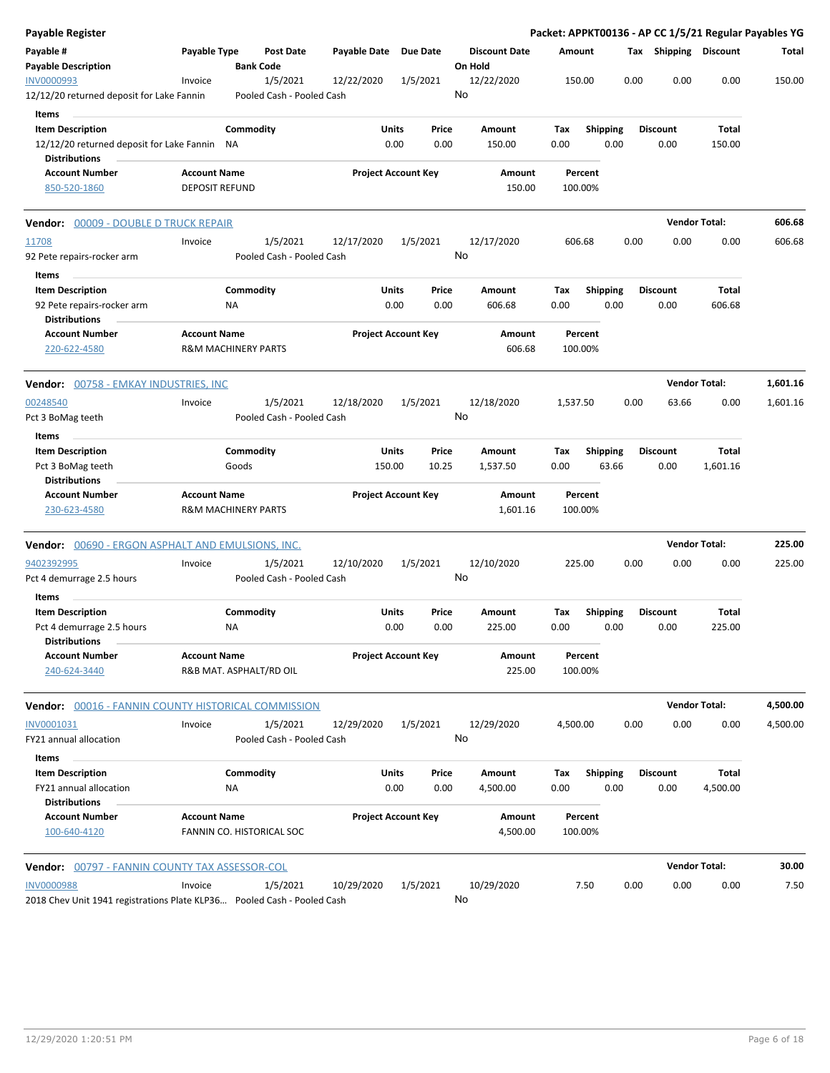| <b>Payable Register</b>                                                 |                                |                  |                           |                            |          |       |         |                      |          |                 |      |                       | Packet: APPKT00136 - AP CC 1/5/21 Regular Payables YG |          |
|-------------------------------------------------------------------------|--------------------------------|------------------|---------------------------|----------------------------|----------|-------|---------|----------------------|----------|-----------------|------|-----------------------|-------------------------------------------------------|----------|
| Payable #<br><b>Payable Description</b>                                 | Payable Type                   | <b>Bank Code</b> | <b>Post Date</b>          | Payable Date Due Date      |          |       | On Hold | <b>Discount Date</b> | Amount   |                 |      | Tax Shipping Discount |                                                       | Total    |
| <b>INV0000993</b>                                                       | Invoice                        |                  | 1/5/2021                  | 12/22/2020                 | 1/5/2021 |       |         | 12/22/2020           | 150.00   |                 | 0.00 | 0.00                  | 0.00                                                  | 150.00   |
| 12/12/20 returned deposit for Lake Fannin                               |                                |                  | Pooled Cash - Pooled Cash |                            |          |       | No      |                      |          |                 |      |                       |                                                       |          |
| Items                                                                   |                                |                  |                           |                            |          |       |         |                      |          |                 |      |                       |                                                       |          |
| <b>Item Description</b>                                                 |                                | Commodity        |                           |                            | Units    | Price |         | Amount               | Tax      | <b>Shipping</b> |      | <b>Discount</b>       | Total                                                 |          |
| 12/12/20 returned deposit for Lake Fannin                               |                                | ΝA               |                           |                            | 0.00     | 0.00  |         | 150.00               | 0.00     | 0.00            |      | 0.00                  | 150.00                                                |          |
| <b>Distributions</b>                                                    |                                |                  |                           |                            |          |       |         |                      |          |                 |      |                       |                                                       |          |
| <b>Account Number</b>                                                   | <b>Account Name</b>            |                  |                           | <b>Project Account Key</b> |          |       |         | Amount               | Percent  |                 |      |                       |                                                       |          |
| 850-520-1860                                                            | <b>DEPOSIT REFUND</b>          |                  |                           |                            |          |       |         | 150.00               | 100.00%  |                 |      |                       |                                                       |          |
| Vendor: 00009 - DOUBLE D TRUCK REPAIR                                   |                                |                  |                           |                            |          |       |         |                      |          |                 |      |                       | <b>Vendor Total:</b>                                  | 606.68   |
| 11708                                                                   | Invoice                        |                  | 1/5/2021                  | 12/17/2020                 | 1/5/2021 |       |         | 12/17/2020           | 606.68   |                 | 0.00 | 0.00                  | 0.00                                                  | 606.68   |
| 92 Pete repairs-rocker arm                                              |                                |                  | Pooled Cash - Pooled Cash |                            |          |       | No      |                      |          |                 |      |                       |                                                       |          |
| Items                                                                   |                                |                  |                           |                            |          |       |         |                      |          |                 |      |                       |                                                       |          |
| <b>Item Description</b>                                                 |                                | Commodity        |                           |                            | Units    | Price |         | Amount               | Tax      | <b>Shipping</b> |      | <b>Discount</b>       | Total                                                 |          |
| 92 Pete repairs-rocker arm                                              |                                | ΝA               |                           |                            | 0.00     | 0.00  |         | 606.68               | 0.00     | 0.00            |      | 0.00                  | 606.68                                                |          |
| <b>Distributions</b>                                                    |                                |                  |                           |                            |          |       |         |                      |          |                 |      |                       |                                                       |          |
| <b>Account Number</b>                                                   | <b>Account Name</b>            |                  |                           | <b>Project Account Key</b> |          |       |         | Amount               | Percent  |                 |      |                       |                                                       |          |
| 220-622-4580                                                            | <b>R&amp;M MACHINERY PARTS</b> |                  |                           |                            |          |       |         | 606.68               | 100.00%  |                 |      |                       |                                                       |          |
| Vendor: 00758 - EMKAY INDUSTRIES, INC                                   |                                |                  |                           |                            |          |       |         |                      |          |                 |      |                       | <b>Vendor Total:</b>                                  | 1,601.16 |
| 00248540                                                                | Invoice                        |                  | 1/5/2021                  | 12/18/2020                 | 1/5/2021 |       |         | 12/18/2020           | 1,537.50 |                 | 0.00 | 63.66                 | 0.00                                                  | 1,601.16 |
| Pct 3 BoMag teeth                                                       |                                |                  | Pooled Cash - Pooled Cash |                            |          |       | No      |                      |          |                 |      |                       |                                                       |          |
| Items                                                                   |                                |                  |                           |                            |          |       |         |                      |          |                 |      |                       |                                                       |          |
| <b>Item Description</b>                                                 |                                | Commodity        |                           |                            | Units    | Price |         | Amount               | Tax      | <b>Shipping</b> |      | <b>Discount</b>       | Total                                                 |          |
| Pct 3 BoMag teeth                                                       |                                | Goods            |                           |                            | 150.00   | 10.25 |         | 1,537.50             | 0.00     | 63.66           |      | 0.00                  | 1,601.16                                              |          |
| <b>Distributions</b><br><b>Account Number</b>                           | <b>Account Name</b>            |                  |                           |                            |          |       |         | Amount               | Percent  |                 |      |                       |                                                       |          |
| 230-623-4580                                                            | <b>R&amp;M MACHINERY PARTS</b> |                  |                           | <b>Project Account Key</b> |          |       |         | 1,601.16             | 100.00%  |                 |      |                       |                                                       |          |
|                                                                         |                                |                  |                           |                            |          |       |         |                      |          |                 |      |                       |                                                       |          |
| <b>Vendor:</b> 00690 - ERGON ASPHALT AND EMULSIONS, INC.                |                                |                  |                           |                            |          |       |         |                      |          |                 |      |                       | <b>Vendor Total:</b>                                  | 225.00   |
| 9402392995                                                              | Invoice                        |                  | 1/5/2021                  | 12/10/2020                 | 1/5/2021 |       |         | 12/10/2020           | 225.00   |                 | 0.00 | 0.00                  | 0.00                                                  | 225.00   |
| Pct 4 demurrage 2.5 hours                                               |                                |                  | Pooled Cash - Pooled Cash |                            |          |       | No      |                      |          |                 |      |                       |                                                       |          |
| Items                                                                   |                                |                  |                           |                            |          |       |         |                      |          |                 |      |                       |                                                       |          |
| <b>Item Description</b>                                                 |                                | Commodity        |                           |                            | Units    | Price |         | Amount               | Tax      | <b>Shipping</b> |      | <b>Discount</b>       | Total                                                 |          |
| Pct 4 demurrage 2.5 hours<br><b>Distributions</b>                       |                                | ΝA               |                           |                            | 0.00     | 0.00  |         | 225.00               | 0.00     | 0.00            |      | 0.00                  | 225.00                                                |          |
| <b>Account Number</b>                                                   | <b>Account Name</b>            |                  |                           | <b>Project Account Key</b> |          |       |         | Amount               | Percent  |                 |      |                       |                                                       |          |
| 240-624-3440                                                            | R&B MAT. ASPHALT/RD OIL        |                  |                           |                            |          |       |         | 225.00               | 100.00%  |                 |      |                       |                                                       |          |
| Vendor: 00016 - FANNIN COUNTY HISTORICAL COMMISSION                     |                                |                  |                           |                            |          |       |         |                      |          |                 |      |                       | <b>Vendor Total:</b>                                  | 4,500.00 |
| INV0001031                                                              | Invoice                        |                  | 1/5/2021                  | 12/29/2020                 | 1/5/2021 |       |         | 12/29/2020           | 4,500.00 |                 | 0.00 | 0.00                  | 0.00                                                  | 4,500.00 |
| FY21 annual allocation                                                  |                                |                  | Pooled Cash - Pooled Cash |                            |          |       | No      |                      |          |                 |      |                       |                                                       |          |
|                                                                         |                                |                  |                           |                            |          |       |         |                      |          |                 |      |                       |                                                       |          |
| Items<br><b>Item Description</b>                                        |                                | Commodity        |                           |                            | Units    | Price |         | Amount               | Tax      | <b>Shipping</b> |      | <b>Discount</b>       | Total                                                 |          |
| FY21 annual allocation                                                  |                                | <b>NA</b>        |                           |                            | 0.00     | 0.00  |         | 4,500.00             | 0.00     | 0.00            |      | 0.00                  | 4,500.00                                              |          |
| <b>Distributions</b>                                                    |                                |                  |                           |                            |          |       |         |                      |          |                 |      |                       |                                                       |          |
| <b>Account Number</b>                                                   | <b>Account Name</b>            |                  |                           | <b>Project Account Key</b> |          |       |         | Amount               | Percent  |                 |      |                       |                                                       |          |
| 100-640-4120                                                            | FANNIN CO. HISTORICAL SOC      |                  |                           |                            |          |       |         | 4,500.00             | 100.00%  |                 |      |                       |                                                       |          |
| <b>Vendor:</b> 00797 - FANNIN COUNTY TAX ASSESSOR-COL                   |                                |                  |                           |                            |          |       |         |                      |          |                 |      |                       | <b>Vendor Total:</b>                                  | 30.00    |
| <b>INV0000988</b>                                                       | Invoice                        |                  | 1/5/2021                  | 10/29/2020                 | 1/5/2021 |       |         | 10/29/2020           | 7.50     |                 | 0.00 | 0.00                  | 0.00                                                  | 7.50     |
| 2018 Chev Unit 1941 registrations Plate KLP36 Pooled Cash - Pooled Cash |                                |                  |                           |                            |          |       | No      |                      |          |                 |      |                       |                                                       |          |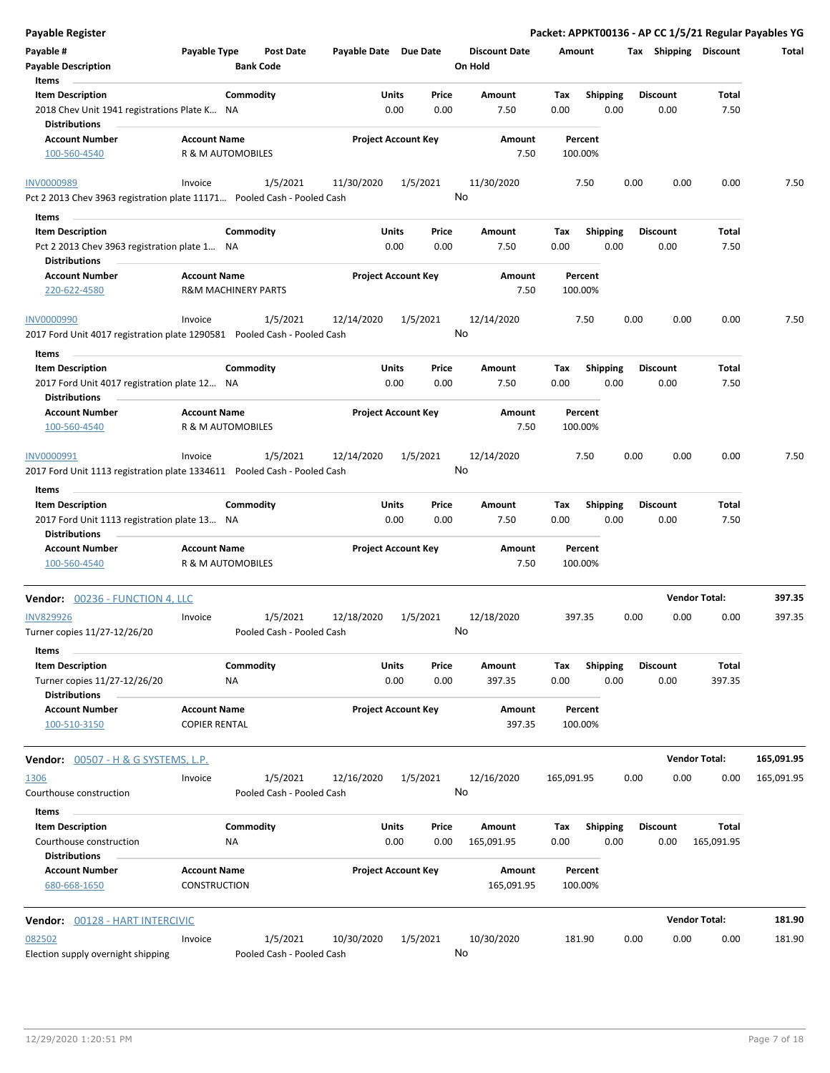| Payable Register                                                                              |                                            |                                       |                       |                            |                                 | Packet: APPKT00136 - AP CC 1/5/21 Regular Payables YG |                         |                         |                      |            |
|-----------------------------------------------------------------------------------------------|--------------------------------------------|---------------------------------------|-----------------------|----------------------------|---------------------------------|-------------------------------------------------------|-------------------------|-------------------------|----------------------|------------|
| Payable #<br><b>Payable Description</b>                                                       | Payable Type                               | <b>Post Date</b><br><b>Bank Code</b>  | Payable Date Due Date |                            | <b>Discount Date</b><br>On Hold | Amount                                                |                         | Tax Shipping Discount   |                      | Total      |
| Items                                                                                         |                                            |                                       |                       |                            |                                 |                                                       |                         |                         |                      |            |
| <b>Item Description</b>                                                                       | Commodity                                  |                                       | Units                 | Price                      | Amount                          | Tax                                                   | <b>Shipping</b>         | <b>Discount</b>         | Total                |            |
| 2018 Chev Unit 1941 registrations Plate K NA<br><b>Distributions</b>                          |                                            |                                       |                       | 0.00<br>0.00               | 7.50                            | 0.00                                                  | 0.00                    | 0.00                    | 7.50                 |            |
| <b>Account Number</b>                                                                         | <b>Account Name</b>                        |                                       |                       | <b>Project Account Key</b> | Amount                          | Percent                                               |                         |                         |                      |            |
| 100-560-4540                                                                                  | R & M AUTOMOBILES                          |                                       |                       |                            | 7.50                            | 100.00%                                               |                         |                         |                      |            |
| <b>INV0000989</b>                                                                             | Invoice                                    | 1/5/2021                              | 11/30/2020            | 1/5/2021                   | 11/30/2020                      | 7.50                                                  | 0.00                    | 0.00                    | 0.00                 | 7.50       |
| Pct 2 2013 Chev 3963 registration plate 11171 Pooled Cash - Pooled Cash                       |                                            |                                       |                       |                            | No                              |                                                       |                         |                         |                      |            |
| Items                                                                                         |                                            |                                       |                       |                            |                                 |                                                       |                         |                         |                      |            |
| <b>Item Description</b>                                                                       | Commodity                                  |                                       | Units                 | Price                      | Amount                          | Tax                                                   | <b>Shipping</b>         | <b>Discount</b>         | Total                |            |
| Pct 2 2013 Chev 3963 registration plate 1 NA<br><b>Distributions</b>                          |                                            |                                       |                       | 0.00<br>0.00               | 7.50                            | 0.00                                                  | 0.00                    | 0.00                    | 7.50                 |            |
| <b>Account Number</b>                                                                         | <b>Account Name</b>                        |                                       |                       | <b>Project Account Key</b> | Amount                          | Percent                                               |                         |                         |                      |            |
| 220-622-4580                                                                                  | <b>R&amp;M MACHINERY PARTS</b>             |                                       |                       |                            | 7.50                            | 100.00%                                               |                         |                         |                      |            |
| <b>INV0000990</b><br>2017 Ford Unit 4017 registration plate 1290581 Pooled Cash - Pooled Cash | Invoice                                    | 1/5/2021                              | 12/14/2020            | 1/5/2021                   | 12/14/2020<br>No                | 7.50                                                  | 0.00                    | 0.00                    | 0.00                 | 7.50       |
|                                                                                               |                                            |                                       |                       |                            |                                 |                                                       |                         |                         |                      |            |
| Items<br><b>Item Description</b>                                                              | Commodity                                  |                                       | Units                 | Price                      | Amount                          | Tax                                                   | <b>Shipping</b>         | <b>Discount</b>         | Total                |            |
| 2017 Ford Unit 4017 registration plate 12 NA<br><b>Distributions</b>                          |                                            |                                       |                       | 0.00<br>0.00               | 7.50                            | 0.00                                                  | 0.00                    | 0.00                    | 7.50                 |            |
| <b>Account Number</b>                                                                         | <b>Account Name</b>                        |                                       |                       | <b>Project Account Key</b> | Amount                          | Percent                                               |                         |                         |                      |            |
| 100-560-4540                                                                                  | R & M AUTOMOBILES                          |                                       |                       |                            | 7.50                            | 100.00%                                               |                         |                         |                      |            |
| INV0000991                                                                                    | Invoice                                    | 1/5/2021                              | 12/14/2020            | 1/5/2021                   | 12/14/2020                      | 7.50                                                  | 0.00                    | 0.00                    | 0.00                 | 7.50       |
| 2017 Ford Unit 1113 registration plate 1334611  Pooled Cash - Pooled Cash<br>Items            |                                            |                                       |                       |                            | No                              |                                                       |                         |                         |                      |            |
| <b>Item Description</b>                                                                       | Commodity                                  |                                       | Units                 | Price                      | Amount                          | Tax                                                   | <b>Shipping</b>         | <b>Discount</b>         | Total                |            |
| 2017 Ford Unit 1113 registration plate 13 NA<br><b>Distributions</b>                          |                                            |                                       |                       | 0.00<br>0.00               | 7.50                            | 0.00                                                  | 0.00                    | 0.00                    | 7.50                 |            |
| <b>Account Number</b>                                                                         | <b>Account Name</b>                        |                                       |                       | <b>Project Account Key</b> | Amount                          | Percent                                               |                         |                         |                      |            |
| 100-560-4540                                                                                  | R & M AUTOMOBILES                          |                                       |                       |                            | 7.50                            | 100.00%                                               |                         |                         |                      |            |
| Vendor: 00236 - FUNCTION 4, LLC                                                               |                                            |                                       |                       |                            |                                 |                                                       |                         |                         | <b>Vendor Total:</b> | 397.35     |
| <b>INV829926</b>                                                                              | Invoice                                    | 1/5/2021                              | 12/18/2020            | 1/5/2021                   | 12/18/2020                      | 397.35                                                | 0.00                    | 0.00                    | 0.00                 | 397.35     |
| Turner copies 11/27-12/26/20                                                                  |                                            | Pooled Cash - Pooled Cash             |                       |                            | No                              |                                                       |                         |                         |                      |            |
| Items                                                                                         |                                            |                                       |                       |                            |                                 |                                                       |                         |                         |                      |            |
| <b>Item Description</b><br>Turner copies 11/27-12/26/20                                       | Commodity<br>ΝA                            |                                       | Units                 | Price<br>0.00<br>0.00      | Amount<br>397.35                | Tax<br>0.00                                           | <b>Shipping</b><br>0.00 | <b>Discount</b><br>0.00 | Total<br>397.35      |            |
| <b>Distributions</b><br><b>Account Number</b>                                                 | <b>Account Name</b>                        |                                       |                       | <b>Project Account Key</b> | Amount                          | Percent                                               |                         |                         |                      |            |
| 100-510-3150                                                                                  | <b>COPIER RENTAL</b>                       |                                       |                       |                            | 397.35                          | 100.00%                                               |                         |                         |                      |            |
| <b>Vendor:</b> 00507 - H & G SYSTEMS, L.P.                                                    |                                            |                                       |                       |                            |                                 |                                                       |                         |                         | <b>Vendor Total:</b> | 165,091.95 |
| 1306                                                                                          | Invoice                                    | 1/5/2021                              | 12/16/2020            | 1/5/2021                   | 12/16/2020                      | 165,091.95                                            | 0.00                    | 0.00                    | 0.00                 | 165,091.95 |
| Courthouse construction                                                                       |                                            | Pooled Cash - Pooled Cash             |                       |                            | No                              |                                                       |                         |                         |                      |            |
| Items                                                                                         |                                            |                                       |                       |                            |                                 |                                                       |                         |                         |                      |            |
| <b>Item Description</b><br>Courthouse construction                                            | Commodity<br>NA                            |                                       | Units                 | Price<br>0.00<br>0.00      | Amount<br>165,091.95            | Tax<br>0.00                                           | <b>Shipping</b><br>0.00 | <b>Discount</b><br>0.00 | Total<br>165,091.95  |            |
| <b>Distributions</b>                                                                          |                                            |                                       |                       |                            |                                 |                                                       |                         |                         |                      |            |
| <b>Account Number</b><br>680-668-1650                                                         | <b>Account Name</b><br><b>CONSTRUCTION</b> |                                       |                       | <b>Project Account Key</b> | Amount<br>165,091.95            | Percent<br>100.00%                                    |                         |                         |                      |            |
| Vendor: 00128 - HART INTERCIVIC                                                               |                                            |                                       |                       |                            |                                 |                                                       |                         |                         | <b>Vendor Total:</b> | 181.90     |
|                                                                                               |                                            |                                       |                       |                            |                                 |                                                       |                         |                         |                      |            |
| 082502<br>Election supply overnight shipping                                                  | Invoice                                    | 1/5/2021<br>Pooled Cash - Pooled Cash | 10/30/2020            | 1/5/2021                   | 10/30/2020<br>No                | 181.90                                                | 0.00                    | 0.00                    | 0.00                 | 181.90     |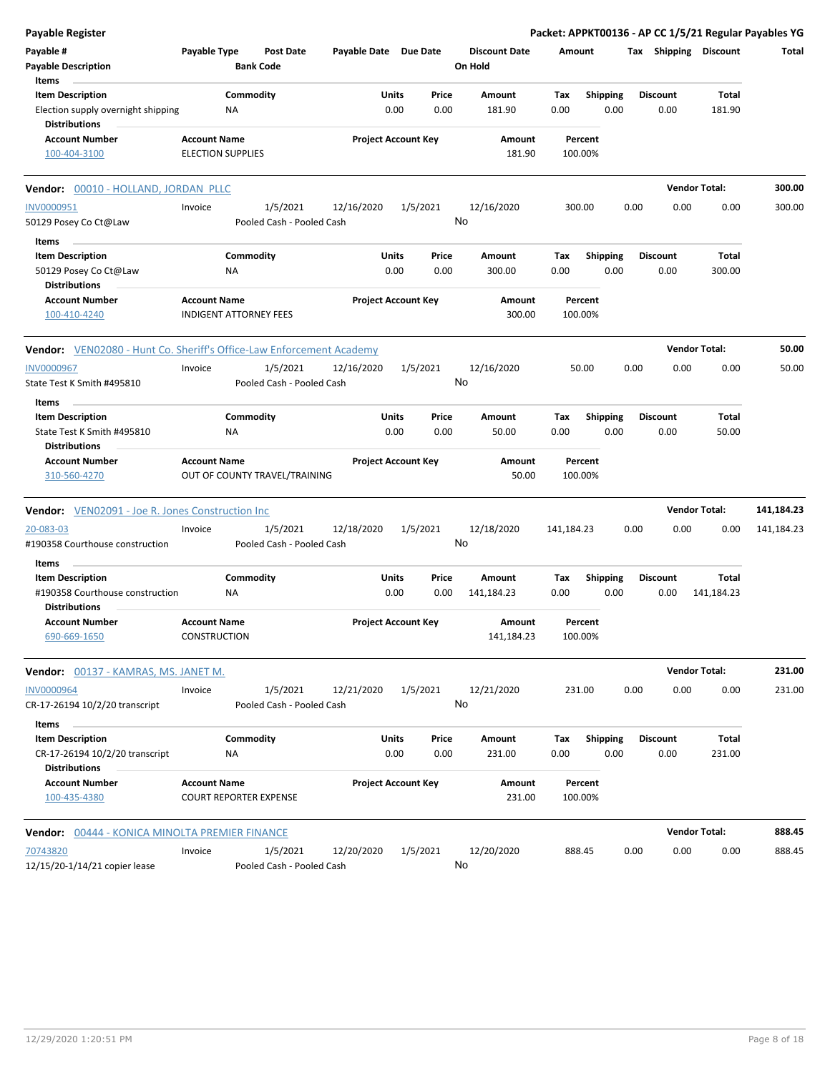| <b>Payable Register</b>                                                                    |                                                 |                                       |                       |                            |               |                                 |                    |                         |      |                         |                        | Packet: APPKT00136 - AP CC 1/5/21 Regular Payables YG |
|--------------------------------------------------------------------------------------------|-------------------------------------------------|---------------------------------------|-----------------------|----------------------------|---------------|---------------------------------|--------------------|-------------------------|------|-------------------------|------------------------|-------------------------------------------------------|
| Payable #<br><b>Payable Description</b><br>Items                                           | Payable Type                                    | <b>Post Date</b><br><b>Bank Code</b>  | Payable Date Due Date |                            |               | <b>Discount Date</b><br>On Hold | Amount             |                         |      |                         | Tax Shipping Discount  | Total                                                 |
| <b>Item Description</b><br>Election supply overnight shipping<br><b>Distributions</b>      |                                                 | Commodity<br>NA                       |                       | Units<br>0.00              | Price<br>0.00 | <b>Amount</b><br>181.90         | Tax<br>0.00        | <b>Shipping</b><br>0.00 |      | <b>Discount</b><br>0.00 | Total<br>181.90        |                                                       |
| <b>Account Number</b><br>100-404-3100                                                      | <b>Account Name</b><br><b>ELECTION SUPPLIES</b> |                                       |                       | <b>Project Account Key</b> |               | Amount<br>181.90                | Percent<br>100.00% |                         |      |                         |                        |                                                       |
| Vendor: 00010 - HOLLAND, JORDAN PLLC                                                       |                                                 |                                       |                       |                            |               |                                 |                    |                         |      |                         | <b>Vendor Total:</b>   | 300.00                                                |
| <b>INV0000951</b><br>50129 Posey Co Ct@Law                                                 | Invoice                                         | 1/5/2021<br>Pooled Cash - Pooled Cash | 12/16/2020            | 1/5/2021                   |               | 12/16/2020<br>No                | 300.00             |                         | 0.00 | 0.00                    | 0.00                   | 300.00                                                |
| Items<br><b>Item Description</b><br>50129 Posey Co Ct@Law<br><b>Distributions</b>          |                                                 | Commodity<br>NA                       |                       | Units<br>0.00              | Price<br>0.00 | Amount<br>300.00                | Tax<br>0.00        | <b>Shipping</b><br>0.00 |      | <b>Discount</b><br>0.00 | <b>Total</b><br>300.00 |                                                       |
| <b>Account Number</b><br>100-410-4240                                                      | <b>Account Name</b>                             | <b>INDIGENT ATTORNEY FEES</b>         |                       | <b>Project Account Key</b> |               | Amount<br>300.00                | Percent<br>100.00% |                         |      |                         |                        |                                                       |
| <b>Vendor:</b> VEN02080 - Hunt Co. Sheriff's Office-Law Enforcement Academy                |                                                 |                                       |                       |                            |               |                                 |                    |                         |      |                         | <b>Vendor Total:</b>   | 50.00                                                 |
| INV0000967<br>State Test K Smith #495810                                                   | Invoice                                         | 1/5/2021<br>Pooled Cash - Pooled Cash | 12/16/2020            | 1/5/2021                   |               | 12/16/2020<br>No                | 50.00              |                         | 0.00 | 0.00                    | 0.00                   | 50.00                                                 |
| Items<br><b>Item Description</b><br>State Test K Smith #495810<br><b>Distributions</b>     |                                                 | Commodity<br>ΝA                       |                       | Units<br>0.00              | Price<br>0.00 | Amount<br>50.00                 | Tax<br>0.00        | <b>Shipping</b><br>0.00 |      | <b>Discount</b><br>0.00 | Total<br>50.00         |                                                       |
| <b>Account Number</b><br>310-560-4270                                                      | <b>Account Name</b>                             | OUT OF COUNTY TRAVEL/TRAINING         |                       | <b>Project Account Key</b> |               | Amount<br>50.00                 | Percent<br>100.00% |                         |      |                         |                        |                                                       |
| <b>Vendor:</b> VEN02091 - Joe R. Jones Construction Inc                                    |                                                 |                                       |                       |                            |               |                                 |                    |                         |      |                         | <b>Vendor Total:</b>   | 141,184.23                                            |
| 20-083-03<br>#190358 Courthouse construction                                               | Invoice                                         | 1/5/2021<br>Pooled Cash - Pooled Cash | 12/18/2020            | 1/5/2021                   |               | 12/18/2020<br>No                | 141,184.23         |                         | 0.00 | 0.00                    | 0.00                   | 141,184.23                                            |
| Items<br><b>Item Description</b><br>#190358 Courthouse construction                        |                                                 | Commodity<br>ΝA                       |                       | Units<br>0.00              | Price<br>0.00 | Amount<br>141,184.23            | Tax<br>0.00        | <b>Shipping</b><br>0.00 |      | <b>Discount</b><br>0.00 | Total<br>141,184.23    |                                                       |
| <b>Distributions</b><br><b>Account Number</b><br>690-669-1650                              | <b>Account Name</b><br><b>CONSTRUCTION</b>      |                                       |                       | <b>Project Account Key</b> |               | Amount<br>141,184.23            | Percent<br>100.00% |                         |      |                         |                        |                                                       |
| <b>Vendor:</b> 00137 - KAMRAS, MS. JANET M.                                                |                                                 |                                       |                       |                            |               |                                 |                    |                         |      |                         | <b>Vendor Total:</b>   | 231.00                                                |
| <b>INV0000964</b><br>CR-17-26194 10/2/20 transcript                                        | Invoice                                         | 1/5/2021<br>Pooled Cash - Pooled Cash | 12/21/2020            | 1/5/2021                   |               | 12/21/2020<br>No                | 231.00             |                         | 0.00 | 0.00                    | 0.00                   | 231.00                                                |
| Items<br><b>Item Description</b><br>CR-17-26194 10/2/20 transcript<br><b>Distributions</b> |                                                 | Commodity<br>NA                       |                       | Units<br>0.00              | Price<br>0.00 | Amount<br>231.00                | Tax<br>0.00        | <b>Shipping</b><br>0.00 |      | <b>Discount</b><br>0.00 | Total<br>231.00        |                                                       |
| <b>Account Number</b><br>100-435-4380                                                      | <b>Account Name</b>                             | <b>COURT REPORTER EXPENSE</b>         |                       | <b>Project Account Key</b> |               | Amount<br>231.00                | Percent<br>100.00% |                         |      |                         |                        |                                                       |
| Vendor: 00444 - KONICA MINOLTA PREMIER FINANCE                                             |                                                 |                                       |                       |                            |               |                                 |                    |                         |      |                         | <b>Vendor Total:</b>   | 888.45                                                |
| 70743820<br>12/15/20-1/14/21 copier lease                                                  | Invoice                                         | 1/5/2021<br>Pooled Cash - Pooled Cash | 12/20/2020            | 1/5/2021                   |               | 12/20/2020<br>No                | 888.45             |                         | 0.00 | 0.00                    | 0.00                   | 888.45                                                |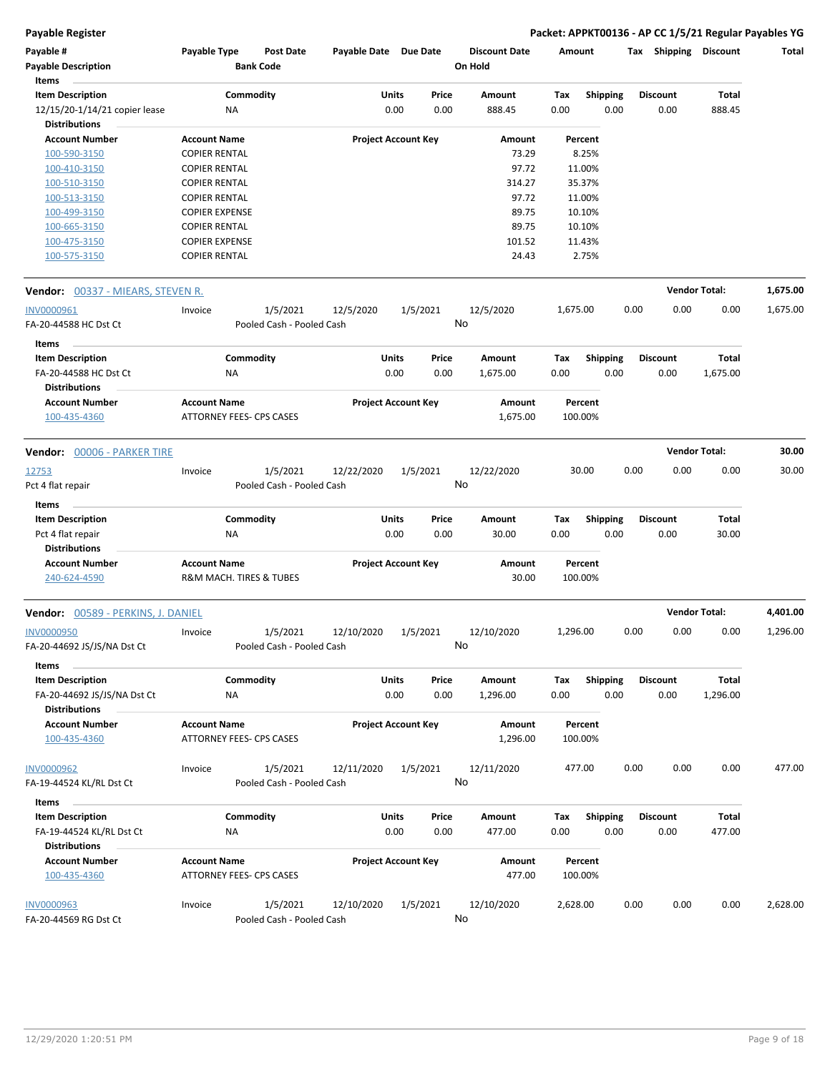**Payable Register Packet: APPKT00136 - AP CC 1/5/21 Regular Payables YG**

| Payable #<br><b>Payable Description</b><br>Items                         | Payable Type                                                  | <b>Post Date</b><br><b>Bank Code</b>  | Payable Date Due Date |                            | <b>Discount Date</b><br>On Hold | Amount             |                         |      | <b>Tax Shipping Discount</b> |                          | Total    |
|--------------------------------------------------------------------------|---------------------------------------------------------------|---------------------------------------|-----------------------|----------------------------|---------------------------------|--------------------|-------------------------|------|------------------------------|--------------------------|----------|
| <b>Item Description</b><br>12/15/20-1/14/21 copier lease                 | ΝA                                                            | Commodity                             | Units                 | Price<br>0.00<br>0.00      | Amount<br>888.45                | Tax<br>0.00        | Shipping<br>0.00        |      | <b>Discount</b><br>0.00      | <b>Total</b><br>888.45   |          |
| <b>Distributions</b>                                                     |                                                               |                                       |                       |                            |                                 |                    |                         |      |                              |                          |          |
| <b>Account Number</b>                                                    | <b>Account Name</b>                                           |                                       |                       | <b>Project Account Key</b> | Amount                          | Percent            |                         |      |                              |                          |          |
| 100-590-3150                                                             | <b>COPIER RENTAL</b>                                          |                                       |                       |                            | 73.29                           | 8.25%              |                         |      |                              |                          |          |
| 100-410-3150                                                             | <b>COPIER RENTAL</b>                                          |                                       |                       |                            | 97.72                           | 11.00%             |                         |      |                              |                          |          |
| 100-510-3150                                                             | <b>COPIER RENTAL</b>                                          |                                       |                       |                            | 314.27                          | 35.37%             |                         |      |                              |                          |          |
| 100-513-3150                                                             | <b>COPIER RENTAL</b>                                          |                                       |                       |                            | 97.72                           | 11.00%             |                         |      |                              |                          |          |
| 100-499-3150                                                             | <b>COPIER EXPENSE</b>                                         |                                       |                       |                            | 89.75                           | 10.10%             |                         |      |                              |                          |          |
| 100-665-3150                                                             | <b>COPIER RENTAL</b>                                          |                                       |                       |                            | 89.75                           | 10.10%             |                         |      |                              |                          |          |
| 100-475-3150<br>100-575-3150                                             | <b>COPIER EXPENSE</b><br><b>COPIER RENTAL</b>                 |                                       |                       |                            | 101.52<br>24.43                 | 11.43%<br>2.75%    |                         |      |                              |                          |          |
| <b>Vendor:</b> 00337 - MIEARS, STEVEN R.                                 |                                                               |                                       |                       |                            |                                 |                    |                         |      |                              | <b>Vendor Total:</b>     | 1,675.00 |
| INV0000961                                                               | Invoice                                                       | 1/5/2021                              | 12/5/2020             | 1/5/2021                   | 12/5/2020                       | 1,675.00           |                         | 0.00 | 0.00                         | 0.00                     | 1,675.00 |
| FA-20-44588 HC Dst Ct                                                    |                                                               | Pooled Cash - Pooled Cash             |                       |                            | No                              |                    |                         |      |                              |                          |          |
| Items                                                                    |                                                               |                                       |                       |                            |                                 |                    |                         |      |                              |                          |          |
| <b>Item Description</b><br>FA-20-44588 HC Dst Ct<br><b>Distributions</b> | NA                                                            | Commodity                             | <b>Units</b>          | Price<br>0.00<br>0.00      | Amount<br>1,675.00              | Tax<br>0.00        | <b>Shipping</b><br>0.00 |      | <b>Discount</b><br>0.00      | <b>Total</b><br>1,675.00 |          |
| <b>Account Number</b>                                                    | <b>Account Name</b>                                           |                                       |                       | <b>Project Account Key</b> | Amount                          | Percent            |                         |      |                              |                          |          |
| 100-435-4360                                                             | <b>ATTORNEY FEES- CPS CASES</b>                               |                                       |                       |                            | 1,675.00                        | 100.00%            |                         |      |                              |                          |          |
| Vendor: 00006 - PARKER TIRE                                              |                                                               |                                       |                       |                            |                                 |                    |                         |      |                              | <b>Vendor Total:</b>     | 30.00    |
| 12753<br>Pct 4 flat repair                                               | Invoice                                                       | 1/5/2021<br>Pooled Cash - Pooled Cash | 12/22/2020            | 1/5/2021                   | 12/22/2020<br>No                | 30.00              |                         | 0.00 | 0.00                         | 0.00                     | 30.00    |
| Items                                                                    |                                                               |                                       |                       |                            |                                 |                    |                         |      |                              |                          |          |
| <b>Item Description</b><br>Pct 4 flat repair<br><b>Distributions</b>     | ΝA                                                            | Commodity                             | <b>Units</b>          | Price<br>0.00<br>0.00      | Amount<br>30.00                 | Tax<br>0.00        | <b>Shipping</b><br>0.00 |      | <b>Discount</b><br>0.00      | Total<br>30.00           |          |
| <b>Account Number</b><br>240-624-4590                                    | <b>Account Name</b><br><b>R&amp;M MACH. TIRES &amp; TUBES</b> |                                       |                       | <b>Project Account Key</b> | Amount<br>30.00                 | Percent<br>100.00% |                         |      |                              |                          |          |
| <b>Vendor:</b> 00589 - PERKINS, J. DANIEL                                |                                                               |                                       |                       |                            |                                 |                    |                         |      |                              | <b>Vendor Total:</b>     | 4,401.00 |
| <b>INV0000950</b><br>FA-20-44692 JS/JS/NA Dst Ct<br>Items                | Invoice                                                       | 1/5/2021<br>Pooled Cash - Pooled Cash | 12/10/2020            | 1/5/2021                   | 12/10/2020<br>No                | 1,296.00           |                         | 0.00 | 0.00                         | 0.00                     | 1,296.00 |
| <b>Item Description</b>                                                  |                                                               | Commodity                             | <b>Units</b>          | Price                      | Amount                          | Tax                | Shipping                |      | <b>Discount</b>              | Total                    |          |
| FA-20-44692 JS/JS/NA Dst Ct<br><b>Distributions</b>                      | NA                                                            |                                       |                       | 0.00<br>0.00               | 1,296.00                        | 0.00               | 0.00                    |      | 0.00                         | 1,296.00                 |          |
| <b>Account Number</b><br>100-435-4360                                    | <b>Account Name</b><br><b>ATTORNEY FEES- CPS CASES</b>        |                                       |                       | <b>Project Account Key</b> | Amount<br>1,296.00              | Percent<br>100.00% |                         |      |                              |                          |          |
| <b>INV0000962</b><br>FA-19-44524 KL/RL Dst Ct                            | Invoice                                                       | 1/5/2021<br>Pooled Cash - Pooled Cash | 12/11/2020            | 1/5/2021                   | 12/11/2020<br>No                | 477.00             |                         | 0.00 | 0.00                         | 0.00                     | 477.00   |
|                                                                          |                                                               |                                       |                       |                            |                                 |                    |                         |      |                              |                          |          |
| Items<br>$\sim$                                                          |                                                               |                                       |                       |                            |                                 |                    |                         |      |                              |                          |          |
| <b>Item Description</b>                                                  |                                                               | Commodity                             | <b>Units</b>          | Price                      | Amount                          | Tax                | Shipping                |      | <b>Discount</b>              | Total                    |          |
| FA-19-44524 KL/RL Dst Ct                                                 | NA                                                            |                                       |                       | 0.00<br>0.00               | 477.00                          | 0.00               | 0.00                    |      | 0.00                         | 477.00                   |          |
| <b>Distributions</b>                                                     |                                                               |                                       |                       |                            |                                 |                    |                         |      |                              |                          |          |
| <b>Account Number</b><br>100-435-4360                                    | <b>Account Name</b><br>ATTORNEY FEES- CPS CASES               |                                       |                       | <b>Project Account Key</b> | Amount<br>477.00                | Percent<br>100.00% |                         |      |                              |                          |          |
| <b>INV0000963</b>                                                        | Invoice                                                       | 1/5/2021                              | 12/10/2020            | 1/5/2021                   | 12/10/2020                      | 2,628.00           |                         | 0.00 | 0.00                         | 0.00                     | 2,628.00 |
| FA-20-44569 RG Dst Ct                                                    |                                                               | Pooled Cash - Pooled Cash             |                       |                            | No                              |                    |                         |      |                              |                          |          |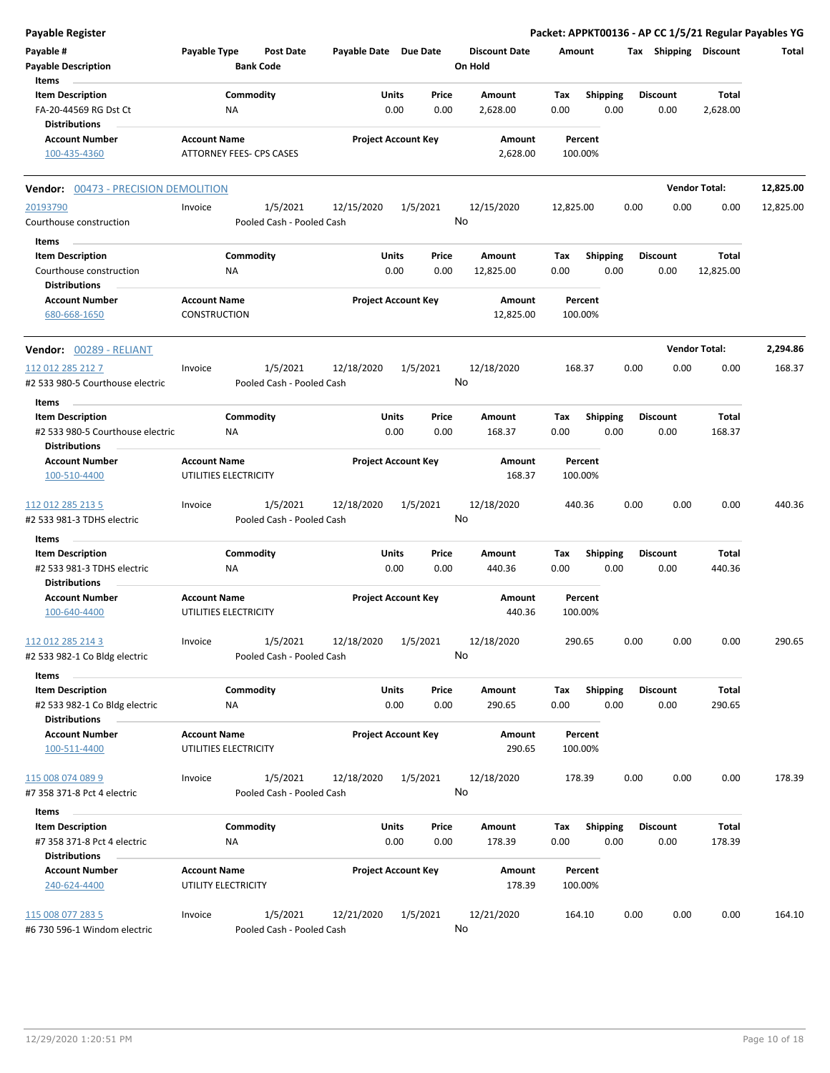| <b>Payable Register</b>                                                       |                                     |                                       |                       |                            |               |                                 |             |                         |      |                         |                      | Packet: APPKT00136 - AP CC 1/5/21 Regular Payables YG |
|-------------------------------------------------------------------------------|-------------------------------------|---------------------------------------|-----------------------|----------------------------|---------------|---------------------------------|-------------|-------------------------|------|-------------------------|----------------------|-------------------------------------------------------|
| Payable #<br><b>Payable Description</b><br>Items                              | Payable Type                        | <b>Post Date</b><br><b>Bank Code</b>  | Payable Date Due Date |                            |               | <b>Discount Date</b><br>On Hold | Amount      |                         |      | Tax Shipping Discount   |                      | Total                                                 |
|                                                                               |                                     |                                       |                       |                            |               |                                 |             |                         |      |                         |                      |                                                       |
| <b>Item Description</b><br>FA-20-44569 RG Dst Ct<br><b>Distributions</b>      |                                     | Commodity<br><b>NA</b>                | Units                 | 0.00                       | Price<br>0.00 | Amount<br>2,628.00              | Tax<br>0.00 | <b>Shipping</b><br>0.00 |      | <b>Discount</b><br>0.00 | Total<br>2,628.00    |                                                       |
| <b>Account Number</b>                                                         | <b>Account Name</b>                 |                                       |                       | <b>Project Account Key</b> |               | Amount                          |             | Percent                 |      |                         |                      |                                                       |
| 100-435-4360                                                                  |                                     | ATTORNEY FEES- CPS CASES              |                       |                            |               | 2,628.00                        | 100.00%     |                         |      |                         |                      |                                                       |
| Vendor: 00473 - PRECISION DEMOLITION                                          |                                     |                                       |                       |                            |               |                                 |             |                         |      |                         | <b>Vendor Total:</b> | 12,825.00                                             |
| 20193790                                                                      | Invoice                             | 1/5/2021                              | 12/15/2020            | 1/5/2021                   |               | 12/15/2020                      | 12,825.00   |                         | 0.00 | 0.00                    | 0.00                 | 12,825.00                                             |
| Courthouse construction                                                       |                                     | Pooled Cash - Pooled Cash             |                       |                            | No            |                                 |             |                         |      |                         |                      |                                                       |
| Items                                                                         |                                     |                                       |                       |                            |               |                                 |             |                         |      |                         |                      |                                                       |
| <b>Item Description</b>                                                       |                                     | Commodity                             | Units                 |                            | Price         | Amount                          | Tax         | <b>Shipping</b>         |      | <b>Discount</b>         | Total                |                                                       |
| Courthouse construction<br><b>Distributions</b>                               |                                     | NA                                    |                       | 0.00                       | 0.00          | 12,825.00                       | 0.00        | 0.00                    |      | 0.00                    | 12,825.00            |                                                       |
| <b>Account Number</b><br>680-668-1650                                         | <b>Account Name</b><br>CONSTRUCTION |                                       |                       | <b>Project Account Key</b> |               | Amount<br>12,825.00             | 100.00%     | Percent                 |      |                         |                      |                                                       |
| Vendor: 00289 - RELIANT                                                       |                                     |                                       |                       |                            |               |                                 |             |                         |      |                         | <b>Vendor Total:</b> | 2,294.86                                              |
| 112 012 285 212 7                                                             | Invoice                             | 1/5/2021                              | 12/18/2020            | 1/5/2021                   |               | 12/18/2020                      | 168.37      |                         | 0.00 | 0.00                    | 0.00                 | 168.37                                                |
| #2 533 980-5 Courthouse electric<br>Items                                     |                                     | Pooled Cash - Pooled Cash             |                       |                            | No            |                                 |             |                         |      |                         |                      |                                                       |
| <b>Item Description</b>                                                       |                                     | Commodity                             | Units                 |                            | Price         | Amount                          | Tax         | <b>Shipping</b>         |      | <b>Discount</b>         | Total                |                                                       |
| #2 533 980-5 Courthouse electric<br><b>Distributions</b>                      |                                     | <b>NA</b>                             |                       | 0.00                       | 0.00          | 168.37                          | 0.00        | 0.00                    |      | 0.00                    | 168.37               |                                                       |
| <b>Account Number</b>                                                         | <b>Account Name</b>                 |                                       |                       | <b>Project Account Key</b> |               | Amount                          |             | Percent                 |      |                         |                      |                                                       |
| 100-510-4400                                                                  |                                     | UTILITIES ELECTRICITY                 |                       |                            |               | 168.37                          | 100.00%     |                         |      |                         |                      |                                                       |
| 112 012 285 213 5                                                             | Invoice                             | 1/5/2021                              | 12/18/2020            | 1/5/2021                   | No            | 12/18/2020                      | 440.36      |                         | 0.00 | 0.00                    | 0.00                 | 440.36                                                |
| #2 533 981-3 TDHS electric                                                    |                                     | Pooled Cash - Pooled Cash             |                       |                            |               |                                 |             |                         |      |                         |                      |                                                       |
| Items                                                                         |                                     |                                       | Units                 |                            | Price         |                                 |             |                         |      | <b>Discount</b>         | Total                |                                                       |
| <b>Item Description</b><br>#2 533 981-3 TDHS electric<br><b>Distributions</b> |                                     | Commodity<br><b>NA</b>                |                       | 0.00                       | 0.00          | Amount<br>440.36                | Tax<br>0.00 | <b>Shipping</b><br>0.00 |      | 0.00                    | 440.36               |                                                       |
| <b>Account Number</b>                                                         | <b>Account Name</b>                 |                                       |                       | <b>Project Account Key</b> |               | Amount                          |             | Percent                 |      |                         |                      |                                                       |
| 100-640-4400                                                                  |                                     | UTILITIES ELECTRICITY                 |                       |                            |               | 440.36                          | 100.00%     |                         |      |                         |                      |                                                       |
| 112 012 285 214 3<br>#2 533 982-1 Co Bldg electric                            | Invoice                             | 1/5/2021<br>Pooled Cash - Pooled Cash | 12/18/2020            | 1/5/2021                   | No            | 12/18/2020                      | 290.65      |                         | 0.00 | 0.00                    | 0.00                 | 290.65                                                |
| Items                                                                         |                                     |                                       |                       |                            |               |                                 |             |                         |      |                         |                      |                                                       |
| <b>Item Description</b>                                                       |                                     | Commodity                             | Units                 |                            | Price         | Amount                          | Tax         | <b>Shipping</b>         |      | <b>Discount</b>         | Total                |                                                       |
| #2 533 982-1 Co Bldg electric                                                 |                                     | ΝA                                    |                       | 0.00                       | 0.00          | 290.65                          | 0.00        | 0.00                    |      | 0.00                    | 290.65               |                                                       |
| <b>Distributions</b>                                                          |                                     |                                       |                       |                            |               |                                 |             |                         |      |                         |                      |                                                       |
| <b>Account Number</b><br>100-511-4400                                         | <b>Account Name</b>                 | UTILITIES ELECTRICITY                 |                       | <b>Project Account Key</b> |               | Amount<br>290.65                | 100.00%     | Percent                 |      |                         |                      |                                                       |
| 115 008 074 089 9                                                             | Invoice                             | 1/5/2021                              | 12/18/2020            | 1/5/2021                   |               | 12/18/2020                      | 178.39      |                         | 0.00 | 0.00                    | 0.00                 | 178.39                                                |
| #7 358 371-8 Pct 4 electric                                                   |                                     | Pooled Cash - Pooled Cash             |                       |                            | No            |                                 |             |                         |      |                         |                      |                                                       |
| Items                                                                         |                                     |                                       |                       |                            |               |                                 |             |                         |      |                         |                      |                                                       |
| <b>Item Description</b><br>#7 358 371-8 Pct 4 electric                        |                                     | Commodity<br>NA                       | Units                 | 0.00                       | Price<br>0.00 | Amount<br>178.39                | Tax<br>0.00 | <b>Shipping</b><br>0.00 |      | <b>Discount</b><br>0.00 | Total<br>178.39      |                                                       |
| <b>Distributions</b>                                                          |                                     |                                       |                       |                            |               |                                 |             |                         |      |                         |                      |                                                       |
| <b>Account Number</b><br>240-624-4400                                         | <b>Account Name</b>                 | UTILITY ELECTRICITY                   |                       | <b>Project Account Key</b> |               | Amount<br>178.39                | 100.00%     | Percent                 |      |                         |                      |                                                       |
| 115 008 077 283 5                                                             | Invoice                             | 1/5/2021                              | 12/21/2020            | 1/5/2021                   |               | 12/21/2020                      | 164.10      |                         | 0.00 | 0.00                    | 0.00                 | 164.10                                                |
| #6 730 596-1 Windom electric                                                  |                                     | Pooled Cash - Pooled Cash             |                       |                            | No            |                                 |             |                         |      |                         |                      |                                                       |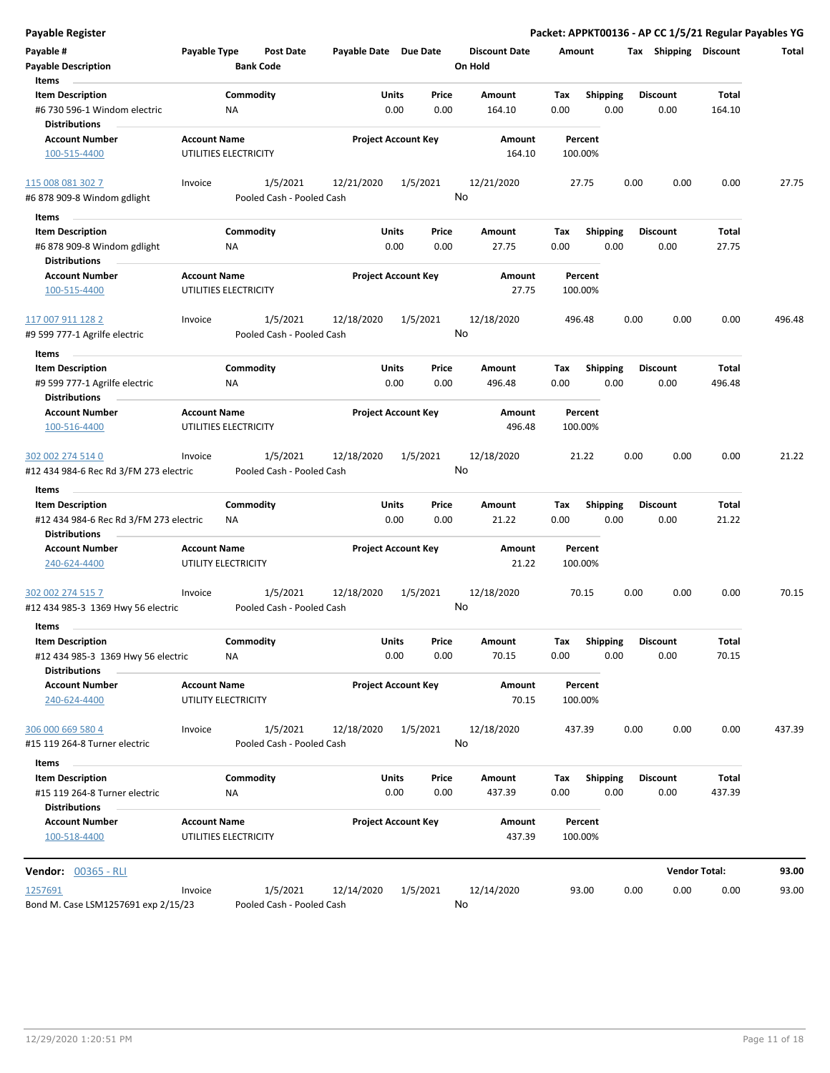| <b>Payable Register</b>                                 |                                              |                  |                                       |                       |                            |               |                                 |             |                         |      |                         | Packet: APPKT00136 - AP CC 1/5/21 Regular Payables YG |              |
|---------------------------------------------------------|----------------------------------------------|------------------|---------------------------------------|-----------------------|----------------------------|---------------|---------------------------------|-------------|-------------------------|------|-------------------------|-------------------------------------------------------|--------------|
| Payable #<br><b>Payable Description</b>                 | Payable Type                                 | <b>Bank Code</b> | <b>Post Date</b>                      | Payable Date Due Date |                            |               | <b>Discount Date</b><br>On Hold |             | Amount                  |      | Tax Shipping Discount   |                                                       | <b>Total</b> |
| Items                                                   |                                              |                  |                                       |                       |                            |               |                                 |             |                         |      |                         |                                                       |              |
| <b>Item Description</b>                                 |                                              | Commodity        |                                       |                       | Units                      | Price         | Amount                          | Tax         | <b>Shipping</b>         |      | <b>Discount</b>         | Total                                                 |              |
| #6 730 596-1 Windom electric<br><b>Distributions</b>    |                                              | <b>NA</b>        |                                       |                       | 0.00                       | 0.00          | 164.10                          | 0.00        | 0.00                    |      | 0.00                    | 164.10                                                |              |
| <b>Account Number</b>                                   | <b>Account Name</b>                          |                  |                                       |                       | <b>Project Account Key</b> |               | Amount                          |             | Percent                 |      |                         |                                                       |              |
| 100-515-4400                                            | UTILITIES ELECTRICITY                        |                  |                                       |                       |                            |               | 164.10                          |             | 100.00%                 |      |                         |                                                       |              |
| 115 008 081 302 7                                       | Invoice                                      |                  | 1/5/2021                              | 12/21/2020            |                            | 1/5/2021      | 12/21/2020                      |             | 27.75                   | 0.00 | 0.00                    | 0.00                                                  | 27.75        |
| #6 878 909-8 Windom gdlight                             |                                              |                  | Pooled Cash - Pooled Cash             |                       |                            |               | No                              |             |                         |      |                         |                                                       |              |
| Items                                                   |                                              |                  |                                       |                       |                            |               |                                 |             |                         |      |                         |                                                       |              |
| <b>Item Description</b><br>#6 878 909-8 Windom gdlight  |                                              | Commodity<br>ΝA  |                                       |                       | Units<br>0.00              | Price<br>0.00 | Amount<br>27.75                 | Тах<br>0.00 | <b>Shipping</b><br>0.00 |      | <b>Discount</b><br>0.00 | Total<br>27.75                                        |              |
| <b>Distributions</b>                                    |                                              |                  |                                       |                       |                            |               |                                 |             |                         |      |                         |                                                       |              |
| <b>Account Number</b><br>100-515-4400                   | <b>Account Name</b><br>UTILITIES ELECTRICITY |                  |                                       |                       | <b>Project Account Key</b> |               | Amount<br>27.75                 |             | Percent<br>100.00%      |      |                         |                                                       |              |
| 117 007 911 128 2                                       | Invoice                                      |                  | 1/5/2021                              | 12/18/2020            |                            | 1/5/2021      | 12/18/2020                      |             | 496.48                  | 0.00 | 0.00                    | 0.00                                                  | 496.48       |
| #9 599 777-1 Agrilfe electric                           |                                              |                  | Pooled Cash - Pooled Cash             |                       |                            |               | No                              |             |                         |      |                         |                                                       |              |
| Items                                                   |                                              |                  |                                       |                       |                            |               |                                 |             |                         |      |                         |                                                       |              |
| <b>Item Description</b>                                 |                                              | Commodity        |                                       |                       | Units                      | Price         | Amount                          | Tax         | Shipping                |      | <b>Discount</b>         | <b>Total</b>                                          |              |
| #9 599 777-1 Agrilfe electric<br><b>Distributions</b>   |                                              | ΝA               |                                       |                       | 0.00                       | 0.00          | 496.48                          | 0.00        | 0.00                    |      | 0.00                    | 496.48                                                |              |
| <b>Account Number</b>                                   | <b>Account Name</b>                          |                  |                                       |                       | <b>Project Account Key</b> |               | Amount                          |             | Percent                 |      |                         |                                                       |              |
| 100-516-4400                                            | UTILITIES ELECTRICITY                        |                  |                                       |                       |                            |               | 496.48                          |             | 100.00%                 |      |                         |                                                       |              |
| 302 002 274 514 0                                       | Invoice                                      |                  | 1/5/2021                              | 12/18/2020            |                            | 1/5/2021      | 12/18/2020                      |             | 21.22                   | 0.00 | 0.00                    | 0.00                                                  | 21.22        |
| #12 434 984-6 Rec Rd 3/FM 273 electric                  |                                              |                  | Pooled Cash - Pooled Cash             |                       |                            |               | No                              |             |                         |      |                         |                                                       |              |
| Items                                                   |                                              |                  |                                       |                       |                            |               |                                 |             |                         |      |                         |                                                       |              |
| <b>Item Description</b>                                 |                                              | Commodity        |                                       |                       | Units                      | Price         | Amount                          | Tax         | <b>Shipping</b>         |      | <b>Discount</b>         | Total                                                 |              |
| #12 434 984-6 Rec Rd 3/FM 273 electric                  |                                              | NA               |                                       |                       | 0.00                       | 0.00          | 21.22                           | 0.00        | 0.00                    |      | 0.00                    | 21.22                                                 |              |
| <b>Distributions</b>                                    |                                              |                  |                                       |                       |                            |               |                                 |             |                         |      |                         |                                                       |              |
| <b>Account Number</b>                                   | <b>Account Name</b>                          |                  |                                       |                       | <b>Project Account Key</b> |               | Amount                          |             | Percent                 |      |                         |                                                       |              |
| 240-624-4400                                            | UTILITY ELECTRICITY                          |                  |                                       |                       |                            |               | 21.22                           |             | 100.00%                 |      |                         |                                                       |              |
| 302 002 274 515 7<br>#12 434 985-3 1369 Hwy 56 electric | Invoice                                      |                  | 1/5/2021<br>Pooled Cash - Pooled Cash | 12/18/2020            |                            | 1/5/2021      | 12/18/2020<br>No                |             | 70.15                   | 0.00 | 0.00                    | 0.00                                                  | 70.15        |
| Items                                                   |                                              |                  |                                       |                       |                            |               |                                 |             |                         |      |                         |                                                       |              |
| <b>Item Description</b>                                 |                                              | Commodity        |                                       |                       | Units                      | Price         | Amount                          | Tax         | <b>Shipping</b>         |      | <b>Discount</b>         | Total                                                 |              |
| #12 434 985-3 1369 Hwy 56 electric                      |                                              | NA               |                                       |                       | 0.00                       | 0.00          | 70.15                           | 0.00        | 0.00                    |      | 0.00                    | 70.15                                                 |              |
| <b>Distributions</b>                                    |                                              |                  |                                       |                       |                            |               |                                 |             |                         |      |                         |                                                       |              |
| <b>Account Number</b><br>240-624-4400                   | <b>Account Name</b><br>UTILITY ELECTRICITY   |                  |                                       |                       | <b>Project Account Key</b> |               | Amount<br>70.15                 |             | Percent<br>100.00%      |      |                         |                                                       |              |
| 306 000 669 580 4                                       | Invoice                                      |                  | 1/5/2021                              | 12/18/2020            |                            | 1/5/2021      | 12/18/2020                      |             | 437.39                  | 0.00 | 0.00                    | 0.00                                                  | 437.39       |
| #15 119 264-8 Turner electric                           |                                              |                  | Pooled Cash - Pooled Cash             |                       |                            |               | No                              |             |                         |      |                         |                                                       |              |
| Items                                                   |                                              |                  |                                       |                       |                            |               |                                 |             |                         |      |                         |                                                       |              |
| <b>Item Description</b>                                 |                                              | Commodity        |                                       |                       | Units                      | Price         | Amount                          | Tax         | <b>Shipping</b>         |      | <b>Discount</b>         | Total                                                 |              |
| #15 119 264-8 Turner electric                           |                                              | NA               |                                       |                       | 0.00                       | 0.00          | 437.39                          | 0.00        | 0.00                    |      | 0.00                    | 437.39                                                |              |
| <b>Distributions</b>                                    |                                              |                  |                                       |                       |                            |               |                                 |             |                         |      |                         |                                                       |              |
| <b>Account Number</b><br>100-518-4400                   | <b>Account Name</b><br>UTILITIES ELECTRICITY |                  |                                       |                       | <b>Project Account Key</b> |               | Amount<br>437.39                |             | Percent<br>100.00%      |      |                         |                                                       |              |
| <b>Vendor: 00365 - RLI</b>                              |                                              |                  |                                       |                       |                            |               |                                 |             |                         |      |                         | <b>Vendor Total:</b>                                  | 93.00        |
|                                                         |                                              |                  |                                       |                       |                            |               |                                 |             |                         |      |                         |                                                       |              |
| 1257691<br>Bond M. Case LSM1257691 exp 2/15/23          | Invoice                                      |                  | 1/5/2021<br>Pooled Cash - Pooled Cash | 12/14/2020            |                            | 1/5/2021      | 12/14/2020<br>No                |             | 93.00                   | 0.00 | 0.00                    | 0.00                                                  | 93.00        |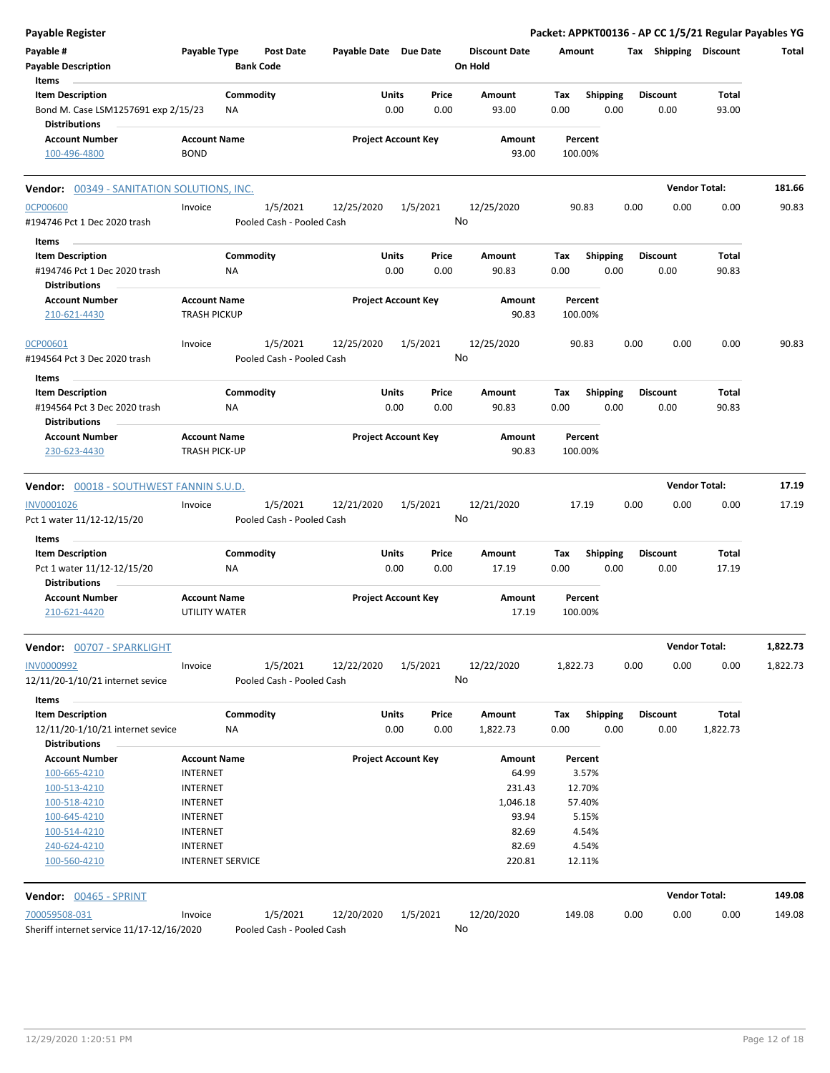| <b>Payable Register</b>                                     |                                             |           |                                       |                            |          |       |                      |          |                         |      |                       | Packet: APPKT00136 - AP CC 1/5/21 Regular Payables YG |          |
|-------------------------------------------------------------|---------------------------------------------|-----------|---------------------------------------|----------------------------|----------|-------|----------------------|----------|-------------------------|------|-----------------------|-------------------------------------------------------|----------|
| Payable #                                                   | Payable Type                                |           | Post Date                             | Payable Date Due Date      |          |       | <b>Discount Date</b> | Amount   |                         |      | Tax Shipping Discount |                                                       | Total    |
| <b>Payable Description</b>                                  |                                             |           | <b>Bank Code</b>                      |                            |          |       | On Hold              |          |                         |      |                       |                                                       |          |
| Items                                                       |                                             |           |                                       |                            |          |       |                      |          |                         |      |                       |                                                       |          |
| <b>Item Description</b>                                     |                                             | Commodity |                                       |                            | Units    | Price | <b>Amount</b>        | Tax      | Shipping                |      | <b>Discount</b>       | Total                                                 |          |
| Bond M. Case LSM1257691 exp 2/15/23<br><b>Distributions</b> |                                             | ΝA        |                                       |                            | 0.00     | 0.00  | 93.00                | 0.00     | 0.00                    |      | 0.00                  | 93.00                                                 |          |
| <b>Account Number</b><br>100-496-4800                       | <b>Account Name</b><br><b>BOND</b>          |           |                                       | <b>Project Account Key</b> |          |       | Amount<br>93.00      |          | Percent<br>100.00%      |      |                       |                                                       |          |
| <b>Vendor: 00349 - SANITATION SOLUTIONS, INC.</b>           |                                             |           |                                       |                            |          |       |                      |          |                         |      | <b>Vendor Total:</b>  |                                                       | 181.66   |
| <b>OCP00600</b>                                             | Invoice                                     |           | 1/5/2021                              | 12/25/2020                 | 1/5/2021 |       | 12/25/2020           |          | 90.83                   | 0.00 | 0.00                  | 0.00                                                  | 90.83    |
| #194746 Pct 1 Dec 2020 trash                                |                                             |           | Pooled Cash - Pooled Cash             |                            |          |       | No                   |          |                         |      |                       |                                                       |          |
| Items                                                       |                                             |           |                                       |                            |          |       |                      |          |                         |      |                       |                                                       |          |
| <b>Item Description</b>                                     |                                             | Commodity |                                       |                            | Units    | Price | Amount               | Tax      | <b>Shipping</b>         |      | <b>Discount</b>       | Total                                                 |          |
| #194746 Pct 1 Dec 2020 trash<br><b>Distributions</b>        |                                             | ΝA        |                                       |                            | 0.00     | 0.00  | 90.83                | 0.00     | 0.00                    |      | 0.00                  | 90.83                                                 |          |
| <b>Account Number</b><br>210-621-4430                       | <b>Account Name</b><br><b>TRASH PICKUP</b>  |           |                                       | <b>Project Account Key</b> |          |       | Amount<br>90.83      |          | Percent<br>100.00%      |      |                       |                                                       |          |
| OCP00601<br>#194564 Pct 3 Dec 2020 trash                    | Invoice                                     |           | 1/5/2021<br>Pooled Cash - Pooled Cash | 12/25/2020                 | 1/5/2021 |       | 12/25/2020<br>No     |          | 90.83                   | 0.00 | 0.00                  | 0.00                                                  | 90.83    |
|                                                             |                                             |           |                                       |                            |          |       |                      |          |                         |      |                       |                                                       |          |
| Items<br><b>Item Description</b>                            |                                             | Commodity |                                       |                            | Units    | Price | Amount               | Тах      |                         |      | <b>Discount</b>       | Total                                                 |          |
| #194564 Pct 3 Dec 2020 trash<br><b>Distributions</b>        |                                             | ΝA        |                                       |                            | 0.00     | 0.00  | 90.83                | 0.00     | <b>Shipping</b><br>0.00 |      | 0.00                  | 90.83                                                 |          |
| <b>Account Number</b>                                       | <b>Account Name</b>                         |           |                                       | <b>Project Account Key</b> |          |       | Amount               |          | Percent                 |      |                       |                                                       |          |
| 230-623-4430                                                | <b>TRASH PICK-UP</b>                        |           |                                       |                            |          |       | 90.83                |          | 100.00%                 |      |                       |                                                       |          |
| Vendor: 00018 - SOUTHWEST FANNIN S.U.D.                     |                                             |           |                                       |                            |          |       |                      |          |                         |      | <b>Vendor Total:</b>  |                                                       | 17.19    |
| INV0001026                                                  | Invoice                                     |           | 1/5/2021                              | 12/21/2020                 | 1/5/2021 |       | 12/21/2020           |          | 17.19                   | 0.00 | 0.00                  | 0.00                                                  | 17.19    |
| Pct 1 water 11/12-12/15/20                                  |                                             |           | Pooled Cash - Pooled Cash             |                            |          |       | No                   |          |                         |      |                       |                                                       |          |
| Items                                                       |                                             |           |                                       |                            |          |       |                      |          |                         |      |                       |                                                       |          |
| <b>Item Description</b>                                     |                                             | Commodity |                                       |                            | Units    | Price | Amount               | Tax      | <b>Shipping</b>         |      | <b>Discount</b>       | Total                                                 |          |
| Pct 1 water 11/12-12/15/20<br><b>Distributions</b>          |                                             | NA        |                                       |                            | 0.00     | 0.00  | 17.19                | 0.00     | 0.00                    |      | 0.00                  | 17.19                                                 |          |
| <b>Account Number</b><br>210-621-4420                       | <b>Account Name</b><br><b>UTILITY WATER</b> |           |                                       | <b>Project Account Key</b> |          |       | Amount<br>17.19      |          | Percent<br>100.00%      |      |                       |                                                       |          |
| Vendor: 00707 - SPARKLIGHT                                  |                                             |           |                                       |                            |          |       |                      |          |                         |      | <b>Vendor Total:</b>  |                                                       | 1,822.73 |
| INV0000992                                                  | Invoice                                     |           | 1/5/2021                              | 12/22/2020                 | 1/5/2021 |       | 12/22/2020           | 1,822.73 |                         | 0.00 | 0.00                  | 0.00                                                  | 1,822.73 |
| 12/11/20-1/10/21 internet sevice                            |                                             |           | Pooled Cash - Pooled Cash             |                            |          |       | No                   |          |                         |      |                       |                                                       |          |
| Items                                                       |                                             |           |                                       |                            |          |       |                      |          |                         |      |                       |                                                       |          |
| <b>Item Description</b>                                     |                                             | Commodity |                                       |                            | Units    | Price | Amount               | Tax      | <b>Shipping</b>         |      | <b>Discount</b>       | Total                                                 |          |
| 12/11/20-1/10/21 internet sevice<br><b>Distributions</b>    |                                             | ΝA        |                                       |                            | 0.00     | 0.00  | 1,822.73             | 0.00     | 0.00                    |      | 0.00                  | 1,822.73                                              |          |
| <b>Account Number</b>                                       | <b>Account Name</b>                         |           |                                       | <b>Project Account Key</b> |          |       | Amount               |          | Percent                 |      |                       |                                                       |          |
| 100-665-4210                                                | <b>INTERNET</b>                             |           |                                       |                            |          |       | 64.99                |          | 3.57%                   |      |                       |                                                       |          |
| 100-513-4210                                                | <b>INTERNET</b>                             |           |                                       |                            |          |       | 231.43               |          | 12.70%                  |      |                       |                                                       |          |
| 100-518-4210                                                | <b>INTERNET</b>                             |           |                                       |                            |          |       | 1,046.18             |          | 57.40%                  |      |                       |                                                       |          |
| 100-645-4210                                                | INTERNET                                    |           |                                       |                            |          |       | 93.94                |          | 5.15%                   |      |                       |                                                       |          |
| 100-514-4210                                                | INTERNET                                    |           |                                       |                            |          |       | 82.69<br>82.69       |          | 4.54%<br>4.54%          |      |                       |                                                       |          |
| 240-624-4210<br>100-560-4210                                | INTERNET<br><b>INTERNET SERVICE</b>         |           |                                       |                            |          |       | 220.81               |          | 12.11%                  |      |                       |                                                       |          |
| Vendor: 00465 - SPRINT                                      |                                             |           |                                       |                            |          |       |                      |          |                         |      | <b>Vendor Total:</b>  |                                                       | 149.08   |
|                                                             |                                             |           |                                       |                            |          |       |                      |          |                         |      |                       |                                                       |          |
| 700059508-031<br>Sheriff internet service 11/17-12/16/2020  | Invoice                                     |           | 1/5/2021<br>Pooled Cash - Pooled Cash | 12/20/2020                 | 1/5/2021 |       | 12/20/2020<br>No     |          | 149.08                  | 0.00 | 0.00                  | 0.00                                                  | 149.08   |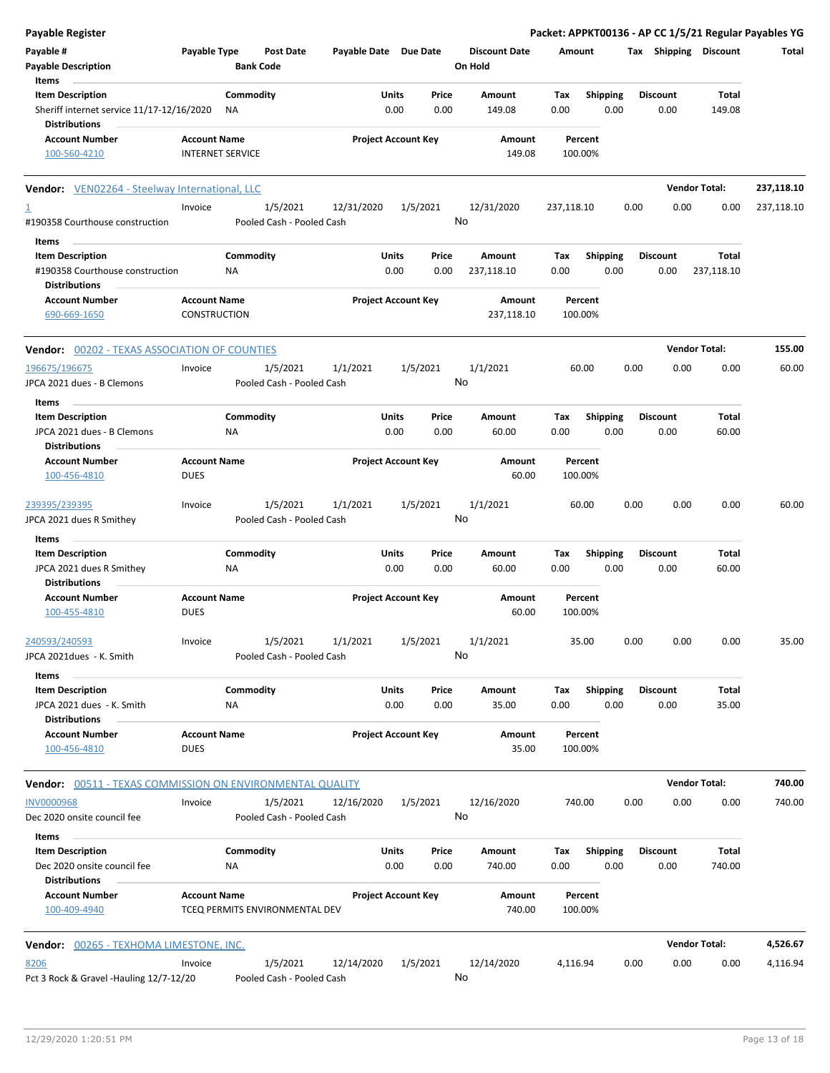| <b>Payable Register</b>                                                       |                                                |                                       |                       |                            |               |                                 |                    |                         |      |                         |                       | Packet: APPKT00136 - AP CC 1/5/21 Regular Payables YG |
|-------------------------------------------------------------------------------|------------------------------------------------|---------------------------------------|-----------------------|----------------------------|---------------|---------------------------------|--------------------|-------------------------|------|-------------------------|-----------------------|-------------------------------------------------------|
| Payable #<br><b>Payable Description</b>                                       | Payable Type                                   | <b>Post Date</b><br><b>Bank Code</b>  | Payable Date Due Date |                            |               | <b>Discount Date</b><br>On Hold | Amount             |                         |      |                         | Tax Shipping Discount | Total                                                 |
| Items<br><b>Item Description</b>                                              |                                                | Commodity                             |                       | Units                      | Price         | Amount                          | Tax                | <b>Shipping</b>         |      | Discount                | Total                 |                                                       |
| Sheriff internet service 11/17-12/16/2020<br><b>Distributions</b>             |                                                | ΝA                                    |                       | 0.00                       | 0.00          | 149.08                          | 0.00               | 0.00                    |      | 0.00                    | 149.08                |                                                       |
| <b>Account Number</b><br>100-560-4210                                         | <b>Account Name</b><br><b>INTERNET SERVICE</b> |                                       |                       | <b>Project Account Key</b> |               | Amount<br>149.08                | 100.00%            | Percent                 |      |                         |                       |                                                       |
| Vendor: VEN02264 - Steelway International, LLC                                |                                                |                                       |                       |                            |               |                                 |                    |                         |      |                         | <b>Vendor Total:</b>  | 237,118.10                                            |
| $\overline{1}$<br>#190358 Courthouse construction                             | Invoice                                        | 1/5/2021<br>Pooled Cash - Pooled Cash | 12/31/2020            |                            | 1/5/2021      | 12/31/2020<br>No                | 237,118.10         |                         | 0.00 | 0.00                    | 0.00                  | 237,118.10                                            |
| Items                                                                         |                                                |                                       |                       |                            |               |                                 |                    |                         |      |                         |                       |                                                       |
| <b>Item Description</b><br>#190358 Courthouse construction                    |                                                | Commodity<br>NA                       |                       | Units<br>0.00              | Price<br>0.00 | Amount<br>237,118.10            | Tax<br>0.00        | <b>Shipping</b><br>0.00 |      | <b>Discount</b><br>0.00 | Total<br>237,118.10   |                                                       |
| <b>Distributions</b><br><b>Account Number</b>                                 | <b>Account Name</b>                            |                                       |                       | <b>Project Account Key</b> |               | <b>Amount</b>                   | Percent            |                         |      |                         |                       |                                                       |
| 690-669-1650                                                                  | <b>CONSTRUCTION</b>                            |                                       |                       |                            |               | 237,118.10                      | 100.00%            |                         |      |                         |                       |                                                       |
| <b>Vendor: 00202 - TEXAS ASSOCIATION OF COUNTIES</b>                          |                                                |                                       |                       |                            |               |                                 |                    |                         |      |                         | <b>Vendor Total:</b>  | 155.00                                                |
| 196675/196675<br>JPCA 2021 dues - B Clemons                                   | Invoice                                        | 1/5/2021<br>Pooled Cash - Pooled Cash | 1/1/2021              |                            | 1/5/2021      | 1/1/2021<br>No                  | 60.00              |                         | 0.00 | 0.00                    | 0.00                  | 60.00                                                 |
| Items                                                                         |                                                |                                       |                       |                            |               |                                 |                    |                         |      |                         |                       |                                                       |
| <b>Item Description</b><br>JPCA 2021 dues - B Clemons<br><b>Distributions</b> |                                                | Commodity<br>ΝA                       |                       | Units<br>0.00              | Price<br>0.00 | Amount<br>60.00                 | Tax<br>0.00        | <b>Shipping</b><br>0.00 |      | <b>Discount</b><br>0.00 | Total<br>60.00        |                                                       |
| <b>Account Number</b>                                                         | <b>Account Name</b>                            |                                       |                       | <b>Project Account Key</b> |               | Amount                          | Percent            |                         |      |                         |                       |                                                       |
| 100-456-4810                                                                  | <b>DUES</b>                                    |                                       |                       |                            |               | 60.00                           | 100.00%            |                         |      |                         |                       |                                                       |
| 239395/239395                                                                 | Invoice                                        | 1/5/2021<br>Pooled Cash - Pooled Cash | 1/1/2021              |                            | 1/5/2021      | 1/1/2021<br>No                  | 60.00              |                         | 0.00 | 0.00                    | 0.00                  | 60.00                                                 |
| JPCA 2021 dues R Smithey                                                      |                                                |                                       |                       |                            |               |                                 |                    |                         |      |                         |                       |                                                       |
| Items<br><b>Item Description</b>                                              |                                                | Commodity                             |                       | <b>Units</b>               | Price         | Amount                          | Tax                | Shipping                |      | <b>Discount</b>         | Total                 |                                                       |
| JPCA 2021 dues R Smithey<br><b>Distributions</b>                              |                                                | <b>NA</b>                             |                       | 0.00                       | 0.00          | 60.00                           | 0.00               | 0.00                    |      | 0.00                    | 60.00                 |                                                       |
| <b>Account Number</b><br>100-455-4810                                         | <b>Account Name</b><br><b>DUES</b>             |                                       |                       | <b>Project Account Key</b> |               | Amount<br>60.00                 | Percent<br>100.00% |                         |      |                         |                       |                                                       |
| 240593/240593<br>JPCA 2021dues - K. Smith                                     | Invoice                                        | 1/5/2021<br>Pooled Cash - Pooled Cash | 1/1/2021              |                            | 1/5/2021      | 1/1/2021<br>No                  | 35.00              |                         | 0.00 | 0.00                    | 0.00                  | 35.00                                                 |
| Items                                                                         |                                                |                                       |                       |                            |               |                                 |                    |                         |      |                         |                       |                                                       |
| <b>Item Description</b><br>JPCA 2021 dues - K. Smith                          |                                                | Commodity<br>ΝA                       |                       | Units<br>0.00              | Price<br>0.00 | Amount<br>35.00                 | Tax<br>0.00        | <b>Shipping</b><br>0.00 |      | <b>Discount</b><br>0.00 | Total<br>35.00        |                                                       |
| <b>Distributions</b><br><b>Account Number</b><br>100-456-4810                 | <b>Account Name</b><br><b>DUES</b>             |                                       |                       | <b>Project Account Key</b> |               | Amount<br>35.00                 | Percent<br>100.00% |                         |      |                         |                       |                                                       |
| <b>Vendor:</b> 00511 - TEXAS COMMISSION ON ENVIRONMENTAL QUALITY              |                                                |                                       |                       |                            |               |                                 |                    |                         |      |                         | <b>Vendor Total:</b>  | 740.00                                                |
| <b>INV0000968</b><br>Dec 2020 onsite council fee                              | Invoice                                        | 1/5/2021<br>Pooled Cash - Pooled Cash | 12/16/2020            |                            | 1/5/2021      | 12/16/2020<br>No                | 740.00             |                         | 0.00 | 0.00                    | 0.00                  | 740.00                                                |
| Items                                                                         |                                                |                                       |                       |                            |               |                                 |                    |                         |      |                         |                       |                                                       |
| <b>Item Description</b><br>Dec 2020 onsite council fee                        |                                                | Commodity<br>ΝA                       |                       | Units<br>0.00              | Price<br>0.00 | Amount<br>740.00                | Тах<br>0.00        | <b>Shipping</b><br>0.00 |      | <b>Discount</b><br>0.00 | Total<br>740.00       |                                                       |
| <b>Distributions</b><br><b>Account Number</b><br>100-409-4940                 | <b>Account Name</b>                            | TCEQ PERMITS ENVIRONMENTAL DEV        |                       | <b>Project Account Key</b> |               | Amount<br>740.00                | Percent<br>100.00% |                         |      |                         |                       |                                                       |
| Vendor: 00265 - TEXHOMA LIMESTONE, INC.                                       |                                                |                                       |                       |                            |               |                                 |                    |                         |      |                         | <b>Vendor Total:</b>  | 4,526.67                                              |
| 8206                                                                          | Invoice                                        | 1/5/2021                              | 12/14/2020            |                            | 1/5/2021      | 12/14/2020                      | 4,116.94           |                         | 0.00 | 0.00                    | 0.00                  | 4,116.94                                              |
| Pct 3 Rock & Gravel -Hauling 12/7-12/20                                       |                                                | Pooled Cash - Pooled Cash             |                       |                            |               | No                              |                    |                         |      |                         |                       |                                                       |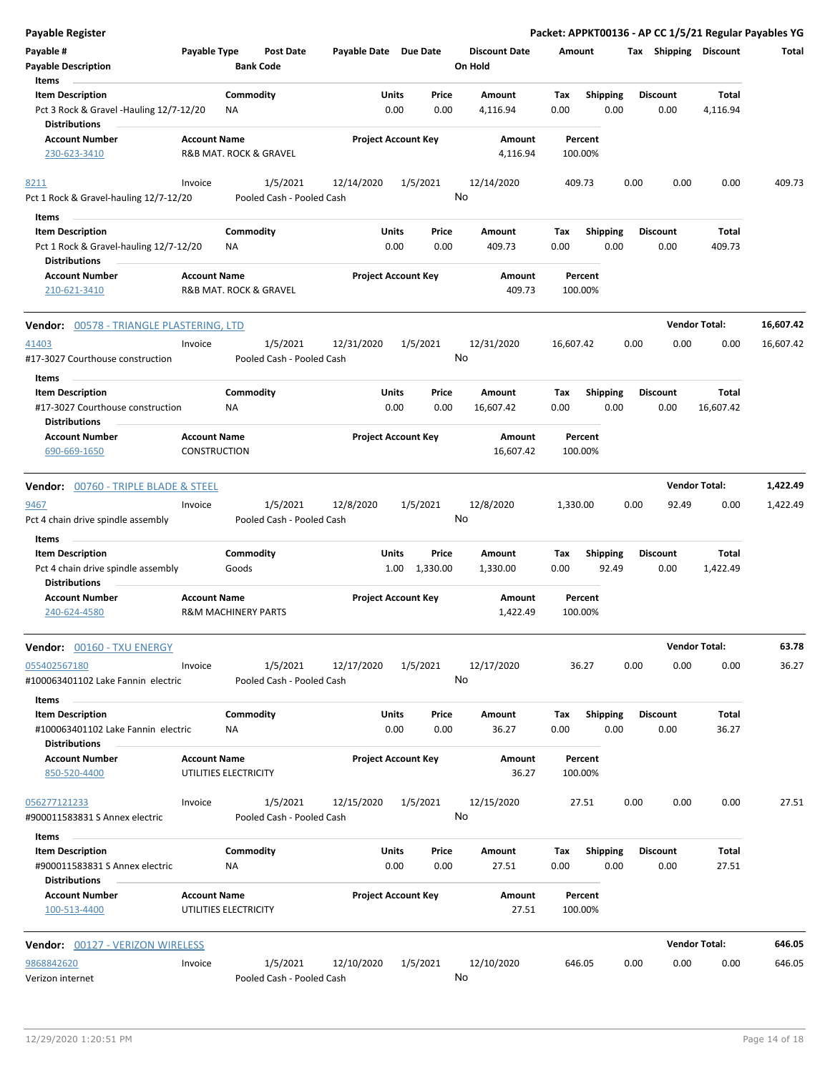| <b>Payable Register</b>                                                                        |                                            |                                       |                       |                                        |    |                                 |             |                          |      |                         | Packet: APPKT00136 - AP CC 1/5/21 Regular Payables YG |           |
|------------------------------------------------------------------------------------------------|--------------------------------------------|---------------------------------------|-----------------------|----------------------------------------|----|---------------------------------|-------------|--------------------------|------|-------------------------|-------------------------------------------------------|-----------|
| Payable #<br><b>Payable Description</b><br>Items                                               | Payable Type                               | <b>Post Date</b><br><b>Bank Code</b>  | Payable Date Due Date |                                        |    | <b>Discount Date</b><br>On Hold | Amount      |                          |      |                         | Tax Shipping Discount                                 | Total     |
| <b>Item Description</b><br>Pct 3 Rock & Gravel -Hauling 12/7-12/20<br><b>Distributions</b>     |                                            | Commodity<br><b>NA</b>                |                       | Units<br>Price<br>0.00<br>0.00         |    | Amount<br>4,116.94              | Tax<br>0.00 | <b>Shipping</b><br>0.00  |      | <b>Discount</b><br>0.00 | Total<br>4,116.94                                     |           |
| <b>Account Number</b><br>230-623-3410                                                          | <b>Account Name</b>                        | R&B MAT. ROCK & GRAVEL                |                       | <b>Project Account Key</b>             |    | Amount<br>4,116.94              |             | Percent<br>100.00%       |      |                         |                                                       |           |
| 8211<br>Pct 1 Rock & Gravel-hauling 12/7-12/20                                                 | Invoice                                    | 1/5/2021<br>Pooled Cash - Pooled Cash | 12/14/2020            | 1/5/2021                               | No | 12/14/2020                      |             | 409.73                   | 0.00 | 0.00                    | 0.00                                                  | 409.73    |
| Items<br><b>Item Description</b><br>Pct 1 Rock & Gravel-hauling 12/7-12/20                     |                                            | Commodity<br>ΝA                       |                       | Units<br>Price<br>0.00<br>0.00         |    | Amount<br>409.73                | Tax<br>0.00 | <b>Shipping</b><br>0.00  |      | <b>Discount</b><br>0.00 | Total<br>409.73                                       |           |
| <b>Distributions</b><br><b>Account Number</b><br>210-621-3410                                  | <b>Account Name</b>                        | R&B MAT. ROCK & GRAVEL                |                       | <b>Project Account Key</b>             |    | Amount<br>409.73                |             | Percent<br>100.00%       |      |                         |                                                       |           |
| Vendor: 00578 - TRIANGLE PLASTERING, LTD                                                       |                                            |                                       |                       |                                        |    |                                 |             |                          |      |                         | <b>Vendor Total:</b>                                  | 16,607.42 |
| 41403<br>#17-3027 Courthouse construction                                                      | Invoice                                    | 1/5/2021<br>Pooled Cash - Pooled Cash | 12/31/2020            | 1/5/2021                               | No | 12/31/2020                      | 16,607.42   |                          | 0.00 | 0.00                    | 0.00                                                  | 16,607.42 |
| Items<br><b>Item Description</b><br>#17-3027 Courthouse construction                           |                                            | Commodity<br>ΝA                       |                       | Units<br>Price<br>0.00<br>0.00         |    | Amount<br>16,607.42             | Tax<br>0.00 | Shipping<br>0.00         |      | <b>Discount</b><br>0.00 | Total<br>16,607.42                                    |           |
| <b>Distributions</b><br><b>Account Number</b><br>690-669-1650                                  | <b>Account Name</b><br><b>CONSTRUCTION</b> |                                       |                       | <b>Project Account Key</b>             |    | Amount<br>16,607.42             |             | Percent<br>100.00%       |      |                         |                                                       |           |
| <b>Vendor: 00760 - TRIPLE BLADE &amp; STEEL</b>                                                |                                            |                                       |                       |                                        |    |                                 |             |                          |      |                         | <b>Vendor Total:</b>                                  | 1,422.49  |
| 9467<br>Pct 4 chain drive spindle assembly<br>Items                                            | Invoice                                    | 1/5/2021<br>Pooled Cash - Pooled Cash | 12/8/2020             | 1/5/2021                               | No | 12/8/2020                       | 1,330.00    |                          | 0.00 | 92.49                   | 0.00                                                  | 1,422.49  |
| <b>Item Description</b><br>Pct 4 chain drive spindle assembly<br><b>Distributions</b>          |                                            | Commodity<br>Goods                    |                       | <b>Units</b><br>Price<br>1.00 1,330.00 |    | Amount<br>1,330.00              | Tax<br>0.00 | <b>Shipping</b><br>92.49 |      | <b>Discount</b><br>0.00 | Total<br>1,422.49                                     |           |
| <b>Account Number</b><br>240-624-4580                                                          | <b>Account Name</b>                        | <b>R&amp;M MACHINERY PARTS</b>        |                       | <b>Project Account Key</b>             |    | Amount<br>1,422.49              |             | Percent<br>100.00%       |      |                         |                                                       |           |
| Vendor: 00160 - TXU ENERGY                                                                     |                                            |                                       |                       |                                        |    |                                 |             |                          |      |                         | <b>Vendor Total:</b>                                  | 63.78     |
| 055402567180<br>#100063401102 Lake Fannin electric                                             | Invoice                                    | 1/5/2021<br>Pooled Cash - Pooled Cash | 12/17/2020            | 1/5/2021                               | No | 12/17/2020                      |             | 36.27                    | 0.00 | 0.00                    | 0.00                                                  | 36.27     |
| Items<br><b>Item Description</b><br>#100063401102 Lake Fannin electric<br><b>Distributions</b> |                                            | Commodity<br>NA                       |                       | Units<br>Price<br>0.00<br>0.00         |    | Amount<br>36.27                 | Tax<br>0.00 | <b>Shipping</b><br>0.00  |      | <b>Discount</b><br>0.00 | Total<br>36.27                                        |           |
| <b>Account Number</b><br>850-520-4400                                                          | <b>Account Name</b>                        | UTILITIES ELECTRICITY                 |                       | <b>Project Account Key</b>             |    | Amount<br>36.27                 |             | Percent<br>100.00%       |      |                         |                                                       |           |
| 056277121233<br>#900011583831 S Annex electric                                                 | Invoice                                    | 1/5/2021<br>Pooled Cash - Pooled Cash | 12/15/2020            | 1/5/2021                               | No | 12/15/2020                      |             | 27.51                    | 0.00 | 0.00                    | 0.00                                                  | 27.51     |
| Items<br><b>Item Description</b><br>#900011583831 S Annex electric<br><b>Distributions</b>     |                                            | Commodity<br>NA                       |                       | Units<br>Price<br>0.00<br>0.00         |    | Amount<br>27.51                 | Tax<br>0.00 | <b>Shipping</b><br>0.00  |      | <b>Discount</b><br>0.00 | Total<br>27.51                                        |           |
| <b>Account Number</b><br>100-513-4400                                                          | <b>Account Name</b>                        | UTILITIES ELECTRICITY                 |                       | <b>Project Account Key</b>             |    | Amount<br>27.51                 |             | Percent<br>100.00%       |      |                         |                                                       |           |
| <b>Vendor: 00127 - VERIZON WIRELESS</b>                                                        |                                            |                                       |                       |                                        |    |                                 |             |                          |      |                         | <b>Vendor Total:</b>                                  | 646.05    |
| 9868842620<br>Verizon internet                                                                 | Invoice                                    | 1/5/2021<br>Pooled Cash - Pooled Cash | 12/10/2020            | 1/5/2021                               | No | 12/10/2020                      |             | 646.05                   | 0.00 | 0.00                    | 0.00                                                  | 646.05    |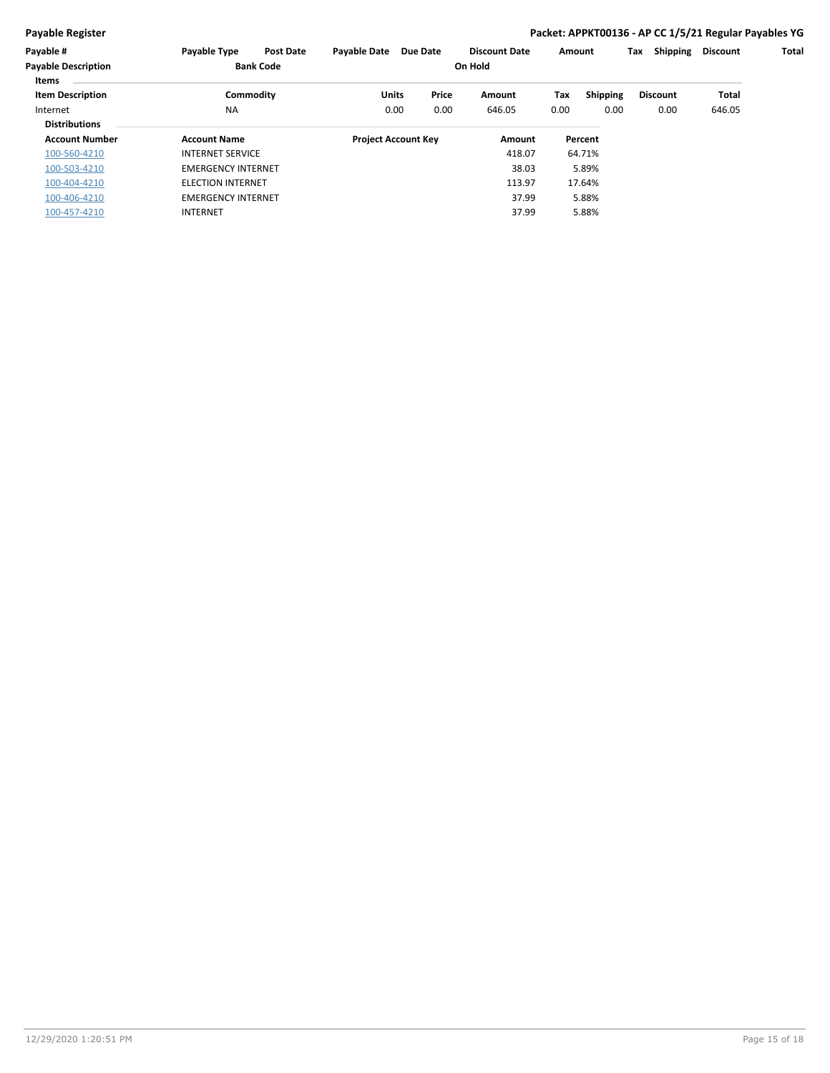#### **Payable Register Packet: APPKT00136 - AP CC 1/5/21 Regular Payables YG**

| Payable #                  | Payable Type              | <b>Post Date</b> | <b>Payable Date</b>        | <b>Due Date</b> |       | <b>Discount Date</b> | Amount |                 | Tax | Shipping        | <b>Discount</b> | Total |
|----------------------------|---------------------------|------------------|----------------------------|-----------------|-------|----------------------|--------|-----------------|-----|-----------------|-----------------|-------|
| <b>Payable Description</b> |                           | <b>Bank Code</b> |                            |                 |       | On Hold              |        |                 |     |                 |                 |       |
| Items                      |                           |                  |                            |                 |       |                      |        |                 |     |                 |                 |       |
| <b>Item Description</b>    |                           | Commodity        | Units                      |                 | Price | Amount               | Tax    | <b>Shipping</b> |     | <b>Discount</b> | Total           |       |
| Internet                   | <b>NA</b>                 |                  |                            | 0.00            | 0.00  | 646.05               | 0.00   | 0.00            |     | 0.00            | 646.05          |       |
| <b>Distributions</b>       |                           |                  |                            |                 |       |                      |        |                 |     |                 |                 |       |
| <b>Account Number</b>      | <b>Account Name</b>       |                  | <b>Project Account Key</b> |                 |       | Amount               |        | Percent         |     |                 |                 |       |
| 100-560-4210               | <b>INTERNET SERVICE</b>   |                  |                            |                 |       | 418.07               |        | 64.71%          |     |                 |                 |       |
| 100-503-4210               | <b>EMERGENCY INTERNET</b> |                  |                            |                 |       | 38.03                |        | 5.89%           |     |                 |                 |       |
| 100-404-4210               | <b>ELECTION INTERNET</b>  |                  |                            |                 |       | 113.97               |        | 17.64%          |     |                 |                 |       |
| 100-406-4210               | <b>EMERGENCY INTERNET</b> |                  |                            |                 |       | 37.99                |        | 5.88%           |     |                 |                 |       |
| 100-457-4210               | <b>INTERNET</b>           |                  |                            |                 |       | 37.99                |        | 5.88%           |     |                 |                 |       |
|                            |                           |                  |                            |                 |       |                      |        |                 |     |                 |                 |       |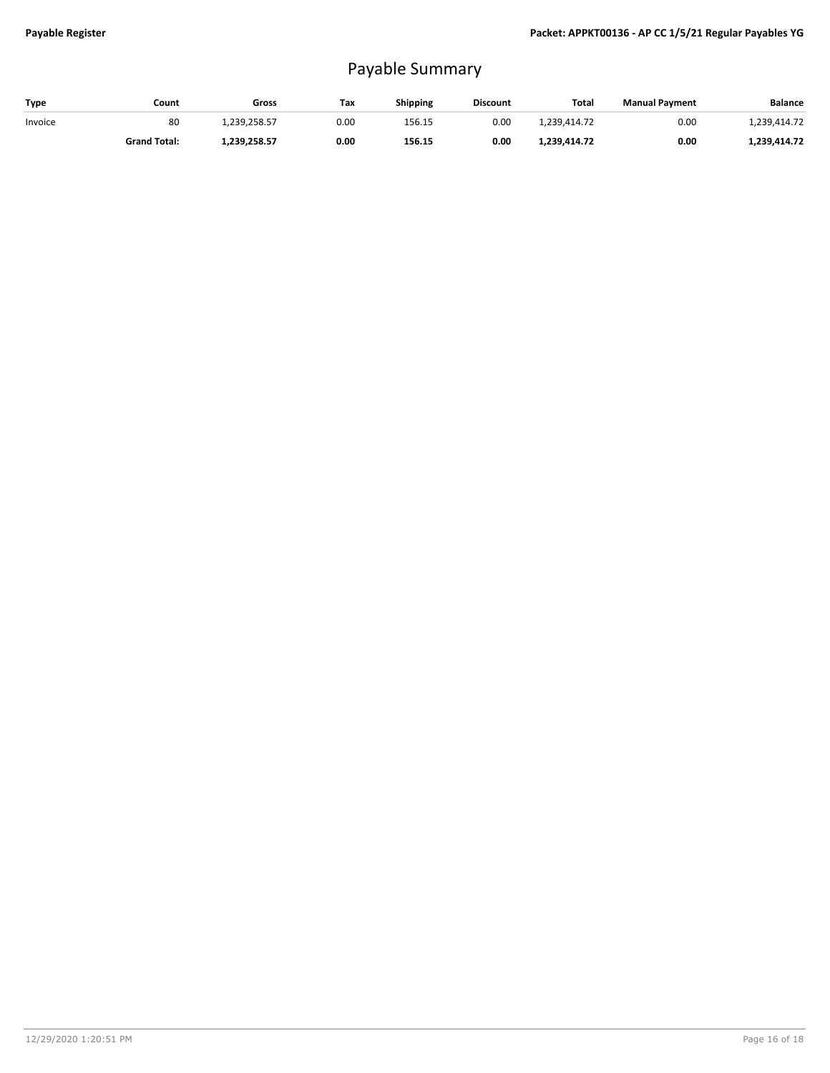## Payable Summary

| Type    | Count               | Gross        | Tax  | <b>Shipping</b> | <b>Discount</b> | Total        | <b>Manual Payment</b> | <b>Balance</b> |
|---------|---------------------|--------------|------|-----------------|-----------------|--------------|-----------------------|----------------|
| Invoice | 80                  | 1.239.258.57 | 0.00 | 156.15          | 0.00            | 1.239.414.72 | 0.00                  | 1.239.414.72   |
|         | <b>Grand Total:</b> | 1,239,258.57 | 0.00 | 156.15          | 0.00            | 1,239,414.72 | 0.00                  | 1,239,414.72   |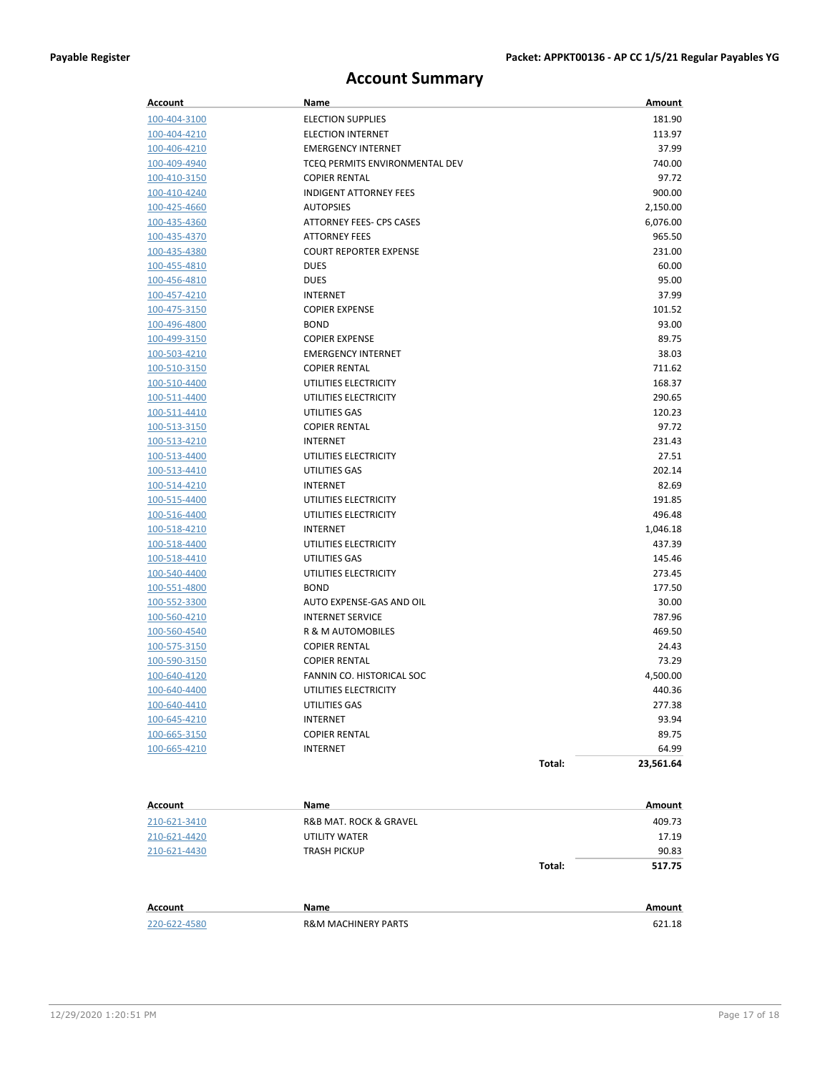### **Account Summary**

| Account                      | Name                           |        | Amount          |
|------------------------------|--------------------------------|--------|-----------------|
| 100-404-3100                 | <b>ELECTION SUPPLIES</b>       |        | 181.90          |
| 100-404-4210                 | <b>ELECTION INTERNET</b>       |        | 113.97          |
| 100-406-4210                 | <b>EMERGENCY INTERNET</b>      |        | 37.99           |
| 100-409-4940                 | TCEQ PERMITS ENVIRONMENTAL DEV |        | 740.00          |
| 100-410-3150                 | <b>COPIER RENTAL</b>           |        | 97.72           |
| 100-410-4240                 | <b>INDIGENT ATTORNEY FEES</b>  |        | 900.00          |
| 100-425-4660                 | <b>AUTOPSIES</b>               |        | 2,150.00        |
| 100-435-4360                 | ATTORNEY FEES- CPS CASES       |        | 6,076.00        |
| 100-435-4370                 | <b>ATTORNEY FEES</b>           |        | 965.50          |
| 100-435-4380                 | <b>COURT REPORTER EXPENSE</b>  |        | 231.00          |
| 100-455-4810                 | <b>DUES</b>                    |        | 60.00           |
| 100-456-4810                 | <b>DUES</b>                    |        | 95.00           |
| 100-457-4210                 | <b>INTERNET</b>                |        | 37.99           |
| 100-475-3150                 | <b>COPIER EXPENSE</b>          |        | 101.52          |
| 100-496-4800                 | <b>BOND</b>                    |        | 93.00           |
| 100-499-3150                 | <b>COPIER EXPENSE</b>          |        | 89.75           |
| 100-503-4210                 | <b>EMERGENCY INTERNET</b>      |        | 38.03           |
| 100-510-3150                 | <b>COPIER RENTAL</b>           |        | 711.62          |
| 100-510-4400                 | UTILITIES ELECTRICITY          |        | 168.37          |
| 100-511-4400                 | UTILITIES ELECTRICITY          |        | 290.65          |
| 100-511-4410                 | UTILITIES GAS                  |        | 120.23          |
| 100-513-3150                 | <b>COPIER RENTAL</b>           |        | 97.72           |
| 100-513-4210                 | <b>INTERNET</b>                |        | 231.43          |
| 100-513-4400                 | UTILITIES ELECTRICITY          |        | 27.51           |
| 100-513-4410                 | UTILITIES GAS                  |        | 202.14          |
| 100-514-4210                 | <b>INTERNET</b>                |        | 82.69           |
| 100-515-4400                 | UTILITIES ELECTRICITY          |        | 191.85          |
| 100-516-4400                 | UTILITIES ELECTRICITY          |        | 496.48          |
| 100-518-4210                 | <b>INTERNET</b>                |        | 1,046.18        |
| 100-518-4400                 | UTILITIES ELECTRICITY          |        | 437.39          |
| 100-518-4410                 | UTILITIES GAS                  |        | 145.46          |
| 100-540-4400                 | UTILITIES ELECTRICITY          |        | 273.45          |
| 100-551-4800                 | <b>BOND</b>                    |        | 177.50          |
| 100-552-3300                 | AUTO EXPENSE-GAS AND OIL       |        | 30.00           |
| 100-560-4210                 | <b>INTERNET SERVICE</b>        |        | 787.96          |
| 100-560-4540                 | <b>R &amp; M AUTOMOBILES</b>   |        | 469.50          |
| 100-575-3150                 | <b>COPIER RENTAL</b>           |        | 24.43           |
| 100-590-3150                 | <b>COPIER RENTAL</b>           |        | 73.29           |
| 100-640-4120                 | FANNIN CO. HISTORICAL SOC      |        | 4,500.00        |
| 100-640-4400                 | UTILITIES ELECTRICITY          |        | 440.36          |
| 100-640-4410                 | UTILITIES GAS                  |        | 277.38          |
| 100-645-4210                 | <b>INTERNET</b>                |        | 93.94           |
| 100-665-3150                 | <b>COPIER RENTAL</b>           |        | 89.75           |
| 100-665-4210                 | INTERNET                       |        | 64.99           |
|                              |                                | Total: | 23,561.64       |
| Account                      | Name                           |        | Amount          |
|                              |                                |        |                 |
| 210-621-3410<br>210-621-4420 | R&B MAT. ROCK & GRAVEL         |        | 409.73<br>17.19 |
|                              | UTILITY WATER                  |        |                 |
| 210-621-4430                 | TRASH PICKUP                   | Total: | 90.83<br>517.75 |
|                              |                                |        |                 |
| Account                      | Name                           |        | Amount          |
| 220-622-4580                 | <b>R&amp;M MACHINERY PARTS</b> |        | 621.18          |